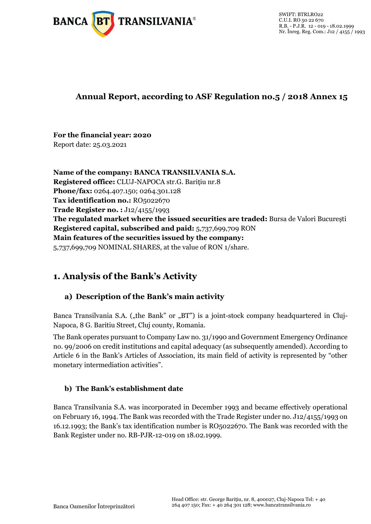

# **Annual Report, according to ASF Regulation no.5 / 2018 Annex 15**

# **For the financial year: 2020**

Report date: 25.03.2021

**Name of the company: BANCA TRANSILVANIA S.A. Registered office:** CLUJ-NAPOCA str.G. Barițiu nr.8 **Phone/fax:** 0264.407.150; 0264.301.128 Tax identification no.: RO5022670 **Trade Register no. :** J12/4155/1993 **The regulated market where the issued securities are traded:** Bursa de Valori București **Registered capital, subscribed and paid:** 5,737,699,709 RON **Main features of the securities issued by the company:**  5,737,699,709 NOMINAL SHARES, at the value of RON 1/share.

# **1. Analysis of the Bank's Activity**

# **a) Description of the Bank's main activity**

Banca Transilvania S.A. ("the Bank" or "BT") is a joint-stock company headquartered in Cluj-Napoca, 8 G. Baritiu Street, Cluj county, Romania.

The Bank operates pursuant to Company Law no. 31/1990 and Government Emergency Ordinance no. 99/2006 on credit institutions and capital adequacy (as subsequently amended). According to Article 6 in the Bank's Articles of Association, its main field of activity is represented by "other monetary intermediation activities".

# **b) The Bank's establishment date**

Banca Transilvania S.A. was incorporated in December 1993 and became effectively operational on February 16, 1994. The Bank was recorded with the Trade Register under no. J12/4155/1993 on 16.12.1993; the Bank's tax identification number is RO5022670. The Bank was recorded with the Bank Register under no. RB-PJR-12-019 on 18.02.1999.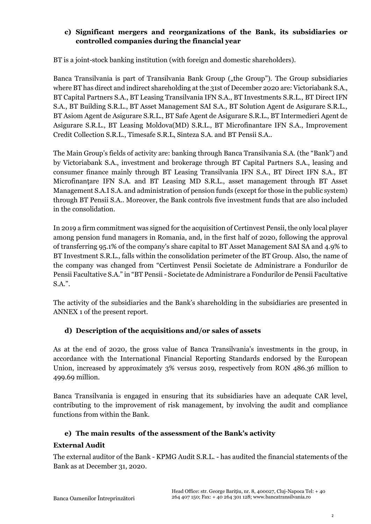## **c) Significant mergers and reorganizations of the Bank, its subsidiaries or controlled companies during the financial year**

BT is a joint-stock banking institution (with foreign and domestic shareholders).

Banca Transilvania is part of Transilvania Bank Group ("the Group"). The Group subsidiaries where BT has direct and indirect shareholding at the 31st of December 2020 are: Victoriabank S.A., BT Capital Partners S.A., BT Leasing Transilvania IFN S.A., BT Investments S.R.L., BT Direct IFN S.A., BT Building S.R.L., BT Asset Management SAI S.A., BT Solution Agent de Asigurare S.R.L., BT Asiom Agent de Asigurare S.R.L., BT Safe Agent de Asigurare S.R.L., BT Intermedieri Agent de Asigurare S.R.L., BT Leasing Moldova(MD) S.R.L., BT Microfinantare IFN S.A., Improvement Credit Collection S.R.L., Timesafe S.R.L, Sinteza S.A. and BT Pensii S.A..

The Main Group's fields of activity are: banking through Banca Transilvania S.A. (the "Bank") and by Victoriabank S.A., investment and brokerage through BT Capital Partners S.A., leasing and consumer finance mainly through BT Leasing Transilvania IFN S.A., BT Direct IFN S.A., BT Microfinanţare IFN S.A. and BT Leasing MD S.R.L., asset management through BT Asset Management S.A.I S.A. and administration of pension funds (except for those in the public system) through BT Pensii S.A.. Moreover, the Bank controls five investment funds that are also included in the consolidation.

In 2019 a firm commitment was signed for the acquisition of Certinvest Pensii, the only local player among pension fund managers in Romania, and, in the first half of 2020, following the approval of transferring 95.1% of the company's share capital to BT Asset Management SAI SA and 4.9% to BT Investment S.R.L., falls within the consolidation perimeter of the BT Group. Also, the name of the company was changed from "Certinvest Pensii Societate de Administrare a Fondurilor de Pensii Facultative S.A." in "BT Pensii - Societate de Administrare a Fondurilor de Pensii Facultative S.A.".

The activity of the subsidiaries and the Bank's shareholding in the subsidiaries are presented in ANNEX 1 of the present report.

## **d) Description of the acquisitions and/or sales of assets**

As at the end of 2020, the gross value of Banca Transilvania's investments in the group, in accordance with the International Financial Reporting Standards endorsed by the European Union, increased by approximately 3% versus 2019, respectively from RON 486.36 million to 499.69 million.

Banca Transilvania is engaged in ensuring that its subsidiaries have an adequate CAR level, contributing to the improvement of risk management, by involving the audit and compliance functions from within the Bank.

## **e) The main results of the assessment of the Bank's activity**

## **External Audit**

The external auditor of the Bank - KPMG Audit S.R.L. - has audited the financial statements of the Bank as at December 31, 2020.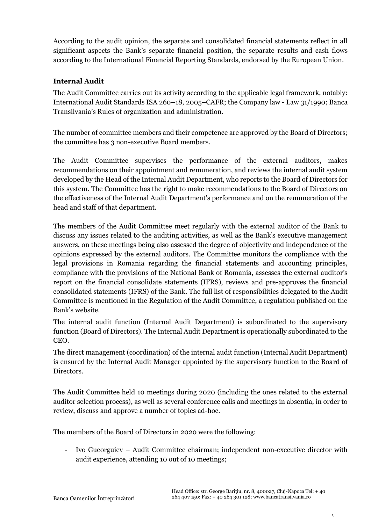According to the audit opinion, the separate and consolidated financial statements reflect in all significant aspects the Bank's separate financial position, the separate results and cash flows according to the International Financial Reporting Standards, endorsed by the European Union.

### **Internal Audit**

The Audit Committee carries out its activity according to the applicable legal framework, notably: International Audit Standards ISA 260–18, 2005–CAFR; the Company law - Law 31/1990; Banca Transilvania's Rules of organization and administration.

The number of committee members and their competence are approved by the Board of Directors; the committee has 3 non-executive Board members.

The Audit Committee supervises the performance of the external auditors, makes recommendations on their appointment and remuneration, and reviews the internal audit system developed by the Head of the Internal Audit Department, who reports to the Board of Directors for this system. The Committee has the right to make recommendations to the Board of Directors on the effectiveness of the Internal Audit Department's performance and on the remuneration of the head and staff of that department.

The members of the Audit Committee meet regularly with the external auditor of the Bank to discuss any issues related to the auditing activities, as well as the Bank's executive management answers, on these meetings being also assessed the degree of objectivity and independence of the opinions expressed by the external auditors. The Committee monitors the compliance with the legal provisions in Romania regarding the financial statements and accounting principles, compliance with the provisions of the National Bank of Romania, assesses the external auditor's report on the financial consolidate statements (IFRS), reviews and pre-approves the financial consolidated statements (IFRS) of the Bank. The full list of responsibilities delegated to the Audit Committee is mentioned in the Regulation of the Audit Committee, a regulation published on the Bank's website.

The internal audit function (Internal Audit Department) is subordinated to the supervisory function (Board of Directors). The Internal Audit Department is operationally subordinated to the CEO.

The direct management (coordination) of the internal audit function (Internal Audit Department) is ensured by the Internal Audit Manager appointed by the supervisory function to the Board of Directors.

The Audit Committee held 10 meetings during 2020 (including the ones related to the external auditor selection process), as well as several conference calls and meetings in absentia, in order to review, discuss and approve a number of topics ad-hoc.

The members of the Board of Directors in 2020 were the following:

- Ivo Gueorguiev – Audit Committee chairman; independent non-executive director with audit experience, attending 10 out of 10 meetings;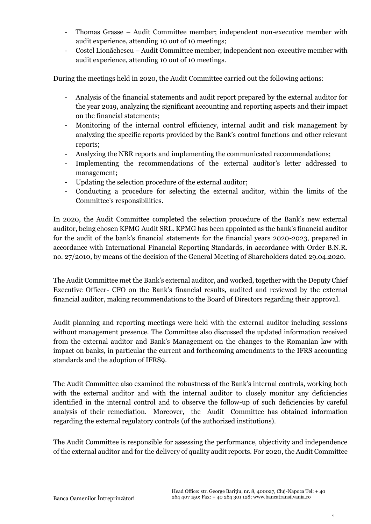- Thomas Grasse Audit Committee member; independent non-executive member with audit experience, attending 10 out of 10 meetings;
- Costel Lionăchescu Audit Committee member; independent non-executive member with audit experience, attending 10 out of 10 meetings.

During the meetings held in 2020, the Audit Committee carried out the following actions:

- Analysis of the financial statements and audit report prepared by the external auditor for the year 2019, analyzing the significant accounting and reporting aspects and their impact on the financial statements;
- Monitoring of the internal control efficiency, internal audit and risk management by analyzing the specific reports provided by the Bank's control functions and other relevant reports;
- Analyzing the NBR reports and implementing the communicated recommendations;
- Implementing the recommendations of the external auditor's letter addressed to management;
- Updating the selection procedure of the external auditor;
- Conducting a procedure for selecting the external auditor, within the limits of the Committee's responsibilities.

In 2020, the Audit Committee completed the selection procedure of the Bank's new external auditor, being chosen KPMG Audit SRL. KPMG has been appointed as the bank's financial auditor for the audit of the bank's financial statements for the financial years 2020-2023, prepared in accordance with International Financial Reporting Standards, in accordance with Order B.N.R. no. 27/2010, by means of the decision of the General Meeting of Shareholders dated 29.04.2020.

The Audit Committee met the Bank's external auditor, and worked, together with the Deputy Chief Executive Officer- CFO on the Bank's financial results, audited and reviewed by the external financial auditor, making recommendations to the Board of Directors regarding their approval.

Audit planning and reporting meetings were held with the external auditor including sessions without management presence. The Committee also discussed the updated information received from the external auditor and Bank's Management on the changes to the Romanian law with impact on banks, in particular the current and forthcoming amendments to the IFRS accounting standards and the adoption of IFRS9.

The Audit Committee also examined the robustness of the Bank's internal controls, working both with the external auditor and with the internal auditor to closely monitor any deficiencies identified in the internal control and to observe the follow-up of such deficiencies by careful analysis of their remediation. Moreover, the Audit Committee has obtained information regarding the external regulatory controls (of the authorized institutions).

The Audit Committee is responsible for assessing the performance, objectivity and independence of the external auditor and for the delivery of quality audit reports. For 2020, the Audit Committee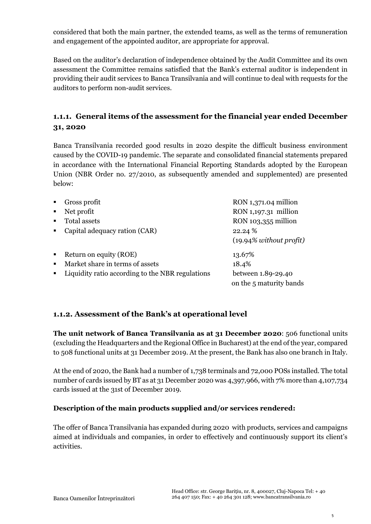considered that both the main partner, the extended teams, as well as the terms of remuneration and engagement of the appointed auditor, are appropriate for approval.

Based on the auditor's declaration of independence obtained by the Audit Committee and its own assessment the Committee remains satisfied that the Bank's external auditor is independent in providing their audit services to Banca Transilvania and will continue to deal with requests for the auditors to perform non-audit services.

# **1.1.1. General items of the assessment for the financial year ended December 31, 2020**

Banca Transilvania recorded good results in 2020 despite the difficult business environment caused by the COVID-19 pandemic. The separate and consolidated financial statements prepared in accordance with the International Financial Reporting Standards adopted by the European Union (NBR Order no. 27/2010, as subsequently amended and supplemented) are presented below:

| $\blacksquare$ | Gross profit                                     | RON 1,371.04 million       |
|----------------|--------------------------------------------------|----------------------------|
| $\blacksquare$ | Net profit                                       | RON 1,197.31 million       |
| $\blacksquare$ | <b>Total assets</b>                              | RON 103,355 million        |
| $\blacksquare$ | Capital adequacy ration (CAR)                    | 22.24 %                    |
|                |                                                  | $(19.94\%$ without profit) |
| $\blacksquare$ | Return on equity (ROE)                           | 13.67%                     |
| $\blacksquare$ | Market share in terms of assets                  | 18.4%                      |
| $\blacksquare$ | Liquidity ratio according to the NBR regulations | between 1.89-29.40         |
|                |                                                  | on the 5 maturity bands    |

## **1.1.2. Assessment of the Bank's at operational level**

**The unit network of Banca Transilvania as at 31 December 2020**: 506 functional units (excluding the Headquarters and the Regional Office in Bucharest) at the end of the year, compared to 508 functional units at 31 December 2019. At the present, the Bank has also one branch in Italy.

At the end of 2020, the Bank had a number of 1,738 terminals and 72,000 POSs installed. The total number of cards issued by BT as at 31 December 2020 was 4,397,966, with 7% more than 4,107,734 cards issued at the 31st of December 2019.

#### **Description of the main products supplied and/or services rendered:**

The offer of Banca Transilvania has expanded during 2020 with products, services and campaigns aimed at individuals and companies, in order to effectively and continuously support its client's activities.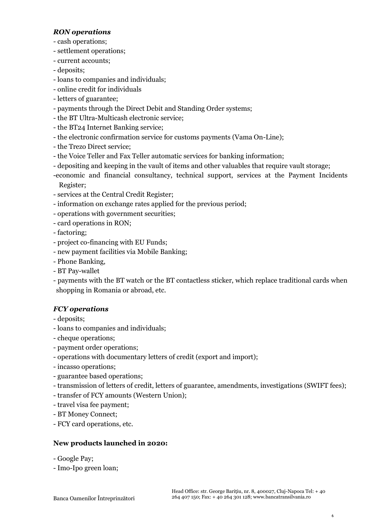### *RON operations*

- *-* cash operations;
- settlement operations;
- current accounts;
- deposits;
- loans to companies and individuals;
- online credit for individuals
- letters of guarantee;
- payments through the Direct Debit and Standing Order systems;
- the BT Ultra-Multicash electronic service;
- the BT24 Internet Banking service;
- the electronic confirmation service for customs payments (Vama On-Line);
- the Trezo Direct service;
- the Voice Teller and Fax Teller automatic services for banking information;
- depositing and keeping in the vault of items and other valuables that require vault storage;
- -economic and financial consultancy, technical support, services at the Payment Incidents Register;
- services at the Central Credit Register;
- information on exchange rates applied for the previous period;
- operations with government securities;
- card operations in RON;
- factoring;
- project co-financing with EU Funds;
- new payment facilities via Mobile Banking;
- Phone Banking,
- BT Pay-wallet
- payments with the BT watch or the BT contactless sticker, which replace traditional cards when shopping in Romania or abroad, etc.

## *FCY operations*

- deposits;
- loans to companies and individuals;
- cheque operations;
- payment order operations;
- operations with documentary letters of credit (export and import);
- incasso operations;
- guarantee based operations;
- transmission of letters of credit, letters of guarantee, amendments, investigations (SWIFT fees);
- transfer of FCY amounts (Western Union);
- travel visa fee payment;
- BT Money Connect;
- FCY card operations, etc.

## **New products launched in 2020:**

- Google Pay;
- Imo-Ipo green loan;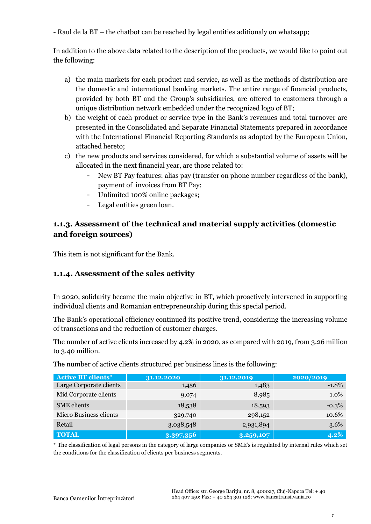- Raul de la BT – the chatbot can be reached by legal entities aditionaly on whatsapp;

In addition to the above data related to the description of the products, we would like to point out the following:

- a) the main markets for each product and service, as well as the methods of distribution are the domestic and international banking markets. The entire range of financial products, provided by both BT and the Group's subsidiaries, are offered to customers through a unique distribution network embedded under the recognized logo of BT;
- b) the weight of each product or service type in the Bank's revenues and total turnover are presented in the Consolidated and Separate Financial Statements prepared in accordance with the International Financial Reporting Standards as adopted by the European Union, attached hereto;
- c) the new products and services considered, for which a substantial volume of assets will be allocated in the next financial year, are those related to:
	- New BT Pay features: alias pay (transfer on phone number regardless of the bank), payment of invoices from BT Pay;
	- Unlimited 100% online packages;
	- Legal entities green loan.

# **1.1.3. Assessment of the technical and material supply activities (domestic and foreign sources)**

This item is not significant for the Bank.

## **1.1.4. Assessment of the sales activity**

In 2020, solidarity became the main objective in BT, which proactively intervened in supporting individual clients and Romanian entrepreneurship during this special period.

The Bank's operational efficiency continued its positive trend, considering the increasing volume of transactions and the reduction of customer charges.

The number of active clients increased by 4.2% in 2020, as compared with 2019, from 3.26 million to 3.40 million.

| <b>Active BT clients*</b> | 31.12.2020 | 31.12.2019 | 2020/2019 |
|---------------------------|------------|------------|-----------|
| Large Corporate clients   | 1,456      | 1,483      | $-1.8%$   |
| Mid Corporate clients     | 9,074      | 8,985      | 1.0%      |
| <b>SME</b> clients        | 18,538     | 18,593     | $-0.3%$   |
| Micro Business clients    | 329,740    | 298,152    | 10.6%     |
| Retail                    | 3,038,548  | 2,931,894  | 3.6%      |
| <b>TOTAL</b>              | 3,397,356  | 3,259,107  | $4.2\%$   |

The number of active clients structured per business lines is the following:

\* The classification of legal persons in the category of large companies or SME's is regulated by internal rules which set the conditions for the classification of clients per business segments.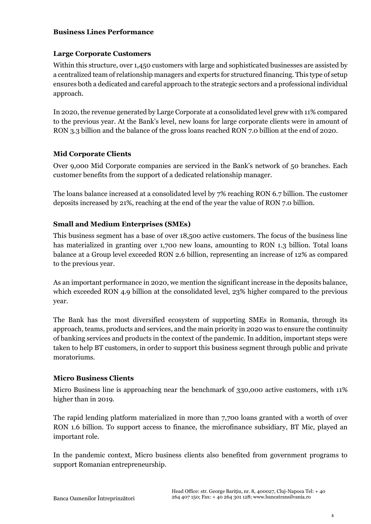#### **Business Lines Performance**

#### **Large Corporate Customers**

Within this structure, over 1,450 customers with large and sophisticated businesses are assisted by a centralized team of relationship managers and experts for structured financing. This type of setup ensures both a dedicated and careful approach to the strategic sectors and a professional individual approach.

In 2020, the revenue generated by Large Corporate at a consolidated level grew with 11% compared to the previous year. At the Bank's level, new loans for large corporate clients were in amount of RON 3.3 billion and the balance of the gross loans reached RON 7.0 billion at the end of 2020.

#### **Mid Corporate Clients**

Over 9,000 Mid Corporate companies are serviced in the Bank's network of 50 branches. Each customer benefits from the support of a dedicated relationship manager.

The loans balance increased at a consolidated level by 7% reaching RON 6.7 billion. The customer deposits increased by 21%, reaching at the end of the year the value of RON 7.0 billion.

#### **Small and Medium Enterprises (SMEs)**

This business segment has a base of over 18,500 active customers. The focus of the business line has materialized in granting over 1,700 new loans, amounting to RON 1.3 billion. Total loans balance at a Group level exceeded RON 2.6 billion, representing an increase of 12% as compared to the previous year.

As an important performance in 2020, we mention the significant increase in the deposits balance, which exceeded RON 4.9 billion at the consolidated level, 23% higher compared to the previous year.

The Bank has the most diversified ecosystem of supporting SMEs in Romania, through its approach, teams, products and services, and the main priority in 2020 was to ensure the continuity of banking services and products in the context of the pandemic. In addition, important steps were taken to help BT customers, in order to support this business segment through public and private moratoriums.

#### **Micro Business Clients**

Micro Business line is approaching near the benchmark of 330,000 active customers, with 11% higher than in 2019.

The rapid lending platform materialized in more than 7,700 loans granted with a worth of over RON 1.6 billion. To support access to finance, the microfinance subsidiary, BT Mic, played an important role.

In the pandemic context, Micro business clients also benefited from government programs to support Romanian entrepreneurship.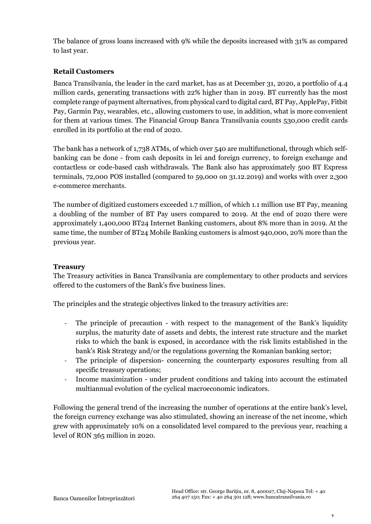The balance of gross loans increased with 9% while the deposits increased with 31% as compared to last year.

### **Retail Customers**

Banca Transilvania, the leader in the card market, has as at December 31, 2020, a portfolio of 4.4 million cards, generating transactions with 22% higher than in 2019. BT currently has the most complete range of payment alternatives, from physical card to digital card, BT Pay, ApplePay, Fitbit Pay, Garmin Pay, wearables, etc., allowing customers to use, in addition, what is more convenient for them at various times. The Financial Group Banca Transilvania counts 530,000 credit cards enrolled in its portfolio at the end of 2020.

The bank has a network of 1,738 ATMs, of which over 540 are multifunctional, through which selfbanking can be done - from cash deposits in lei and foreign currency, to foreign exchange and contactless or code-based cash withdrawals. The Bank also has approximately 500 BT Express terminals, 72,000 POS installed (compared to 59,000 on 31.12.2019) and works with over 2,300 e-commerce merchants.

The number of digitized customers exceeded 1.7 million, of which 1.1 million use BT Pay, meaning a doubling of the number of BT Pay users compared to 2019. At the end of 2020 there were approximately 1,400,000 BT24 Internet Banking customers, about 8% more than in 2019. At the same time, the number of BT24 Mobile Banking customers is almost 940,000, 20% more than the previous year.

#### **Treasury**

The Treasury activities in Banca Transilvania are complementary to other products and services offered to the customers of the Bank's five business lines.

The principles and the strategic objectives linked to the treasury activities are:

- The principle of precaution with respect to the management of the Bank's liquidity surplus, the maturity date of assets and debts, the interest rate structure and the market risks to which the bank is exposed, in accordance with the risk limits established in the bank's Risk Strategy and/or the regulations governing the Romanian banking sector;
- The principle of dispersion- concerning the counterparty exposures resulting from all specific treasury operations;
- Income maximization under prudent conditions and taking into account the estimated multiannual evolution of the cyclical macroeconomic indicators.

Following the general trend of the increasing the number of operations at the entire bank's level, the foreign currency exchange was also stimulated, showing an increase of the net income, which grew with approximately 10% on a consolidated level compared to the previous year, reaching a level of RON 365 million in 2020.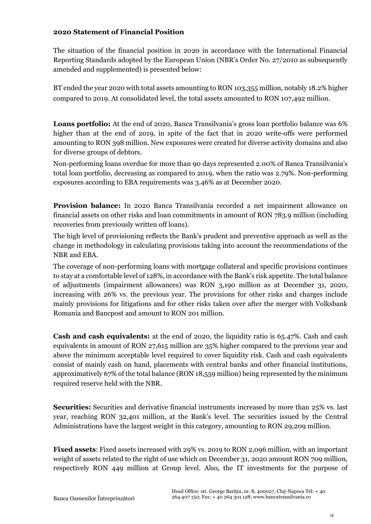#### **2020 Statement of Financial Position**

The situation of the financial position in 2020 in accordance with the International Financial Reporting Standards adopted by the European Union (NBR's Order No. 27/2010 as subsequently amended and supplemented) is presented below:

BT ended the year 2020 with total assets amounting to RON 103,355 million, notably 18.2% higher compared to 2019. At consolidated level, the total assets amounted to RON 107,492 million.

**Loans portfolio:** At the end of 2020, Banca Transilvania's gross loan portfolio balance was 6% higher than at the end of 2019, in spite of the fact that in 2020 write-offs were performed amounting to RON 398 million. New exposures were created for diverse activity domains and also for diverse groups of debtors.

Non-performing loans overdue for more than 90 days represented 2.00% of Banca Transilvania's total loan portfolio, decreasing as compared to 2019, when the ratio was 2.79%. Non-performing exposures according to EBA requirements was 3.46% as at December 2020.

**Provision balance:** In 2020 Banca Transilvania recorded a net impairment allowance on financial assets on other risks and loan commitments in amount of RON 783.9 million (including recoveries from previously written off loans).

The high level of provisioning reflects the Bank's prudent and preventive approach as well as the change in methodology in calculating provisions taking into account the recommendations of the NBR and EBA.

The coverage of non-performing loans with mortgage collateral and specific provisions continues to stay at a comfortable level of 128%, in accordance with the Bank's risk appetite. The total balance of adjustments (impairment allowances) was RON 3,190 million as at December 31, 2020, increasing with 26% vs. the previous year. The provisions for other risks and charges include mainly provisions for litigations and for other risks taken over after the merger with Volksbank Romania and Bancpost and amount to RON 201 million.

**Cash and cash equivalents:** at the end of 2020, the liquidity ratio is 65.47%. Cash and cash equivalents in amount of RON 27,615 million are 35% higher compared to the previous year and above the minimum acceptable level required to cover liquidity risk. Cash and cash equivalents consist of mainly cash on hand, placements with central banks and other financial institutions, approximatively 67% of the total balance (RON 18,559 million) being represented by the minimum required reserve held with the NBR.

**Securities:** Securities and derivative financial instruments increased by more than 25% vs. last year, reaching RON 32,401 million, at the Bank's level. The securities issued by the Central Administrations have the largest weight in this category, amounting to RON 29,209 million.

**Fixed assets**: Fixed assets increased with 29% vs. 2019 to RON 2,096 million, with an important weight of assets related to the right of use which on December 31, 2020 amount RON 709 million, respectively RON 449 million at Group level. Also, the IT investments for the purpose of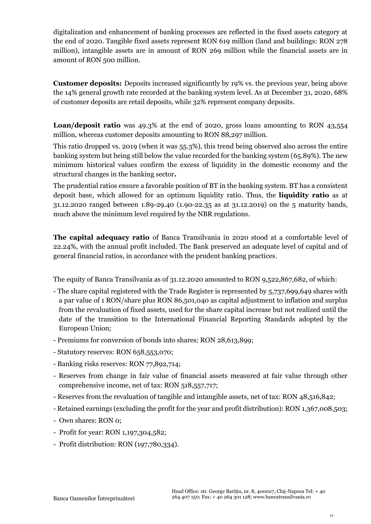digitalization and enhancement of banking processes are reflected in the fixed assets category at the end of 2020. Tangible fixed assets represent RON 619 million (land and buildings: RON 278 million), intangible assets are in amount of RON 269 million while the financial assets are in amount of RON 500 million.

**Customer deposits:** Deposits increased significantly by 19% vs. the previous year, being above the 14% general growth rate recorded at the banking system level. As at December 31, 2020, 68% of customer deposits are retail deposits, while 32% represent company deposits.

**Loan/deposit ratio** was 49.3% at the end of 2020, gross loans amounting to RON 43,554 million, whereas customer deposits amounting to RON 88,297 million.

This ratio dropped vs. 2019 (when it was 55.3%), this trend being observed also across the entire banking system but being still below the value recorded for the banking system (65.89%). The new minimum historical values confirm the excess of liquidity in the domestic economy and the structural changes in the banking sector**.**

The prudential ratios ensure a favorable position of BT in the banking system. BT has a consistent deposit base, which allowed for an optimum liquidity ratio. Thus, the **liquidity ratio** as at 31.12.2020 ranged between 1.89-29.40 (1.90-22.35 as at 31.12.2019) on the 5 maturity bands, much above the minimum level required by the NBR regulations.

**The capital adequacy ratio** of Banca Transilvania in 2020 stood at a comfortable level of 22.24%, with the annual profit included. The Bank preserved an adequate level of capital and of general financial ratios, in accordance with the prudent banking practices.

The equity of Banca Transilvania as of 31.12.2020 amounted to RON 9,522,867,682, of which:

- The share capital registered with the Trade Register is represented by 5,737,699,649 shares with a par value of 1 RON/share plus RON 86,501,040 as capital adjustment to inflation and surplus from the revaluation of fixed assets, used for the share capital increase but not realized until the date of the transition to the International Financial Reporting Standards adopted by the European Union;
- Premiums for conversion of bonds into shares: RON 28,613,899;
- Statutory reserves: RON 658,553,070;
- Banking risks reserves: RON 77,892,714;
- Reserves from change in fair value of financial assets measured at fair value through other comprehensive income, net of tax: RON 518,557,717;
- Reserves from the revaluation of tangible and intangible assets, net of tax: RON 48,516,842;
- Retained earnings (excluding the profit for the year and profit distribution): RON 1,367,008,503;
- Own shares: RON 0;
- Profit for year: RON 1,197,304,582;
- Profit distribution: RON (197,780,334).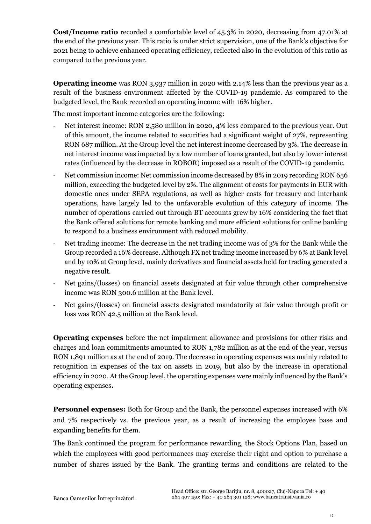**Cost/Income ratio** recorded a comfortable level of 45.3% in 2020, decreasing from 47.01% at the end of the previous year. This ratio is under strict supervision, one of the Bank's objective for 2021 being to achieve enhanced operating efficiency, reflected also in the evolution of this ratio as compared to the previous year.

**Operating income** was RON 3,937 million in 2020 with 2.14% less than the previous year as a result of the business environment affected by the COVID-19 pandemic. As compared to the budgeted level, the Bank recorded an operating income with 16% higher.

The most important income categories are the following:

- Net interest income: RON 2,580 million in 2020, 4% less compared to the previous year. Out of this amount, the income related to securities had a significant weight of 27%, representing RON 687 million. At the Group level the net interest income decreased by 3%. The decrease in net interest income was impacted by a low number of loans granted, but also by lower interest rates (influenced by the decrease in ROBOR) imposed as a result of the COVID-19 pandemic.
- Net commission income: Net commission income decreased by 8% in 2019 recording RON 656 million, exceeding the budgeted level by 2%. The alignment of costs for payments in EUR with domestic ones under SEPA regulations, as well as higher costs for treasury and interbank operations, have largely led to the unfavorable evolution of this category of income. The number of operations carried out through BT accounts grew by 16% considering the fact that the Bank offered solutions for remote banking and more efficient solutions for online banking to respond to a business environment with reduced mobility.
- Net trading income: The decrease in the net trading income was of 3% for the Bank while the Group recorded a 16% decrease. Although FX net trading income increased by 6% at Bank level and by 10% at Group level, mainly derivatives and financial assets held for trading generated a negative result.
- Net gains/(losses) on financial assets designated at fair value through other comprehensive income was RON 300.6 million at the Bank level.
- Net gains/(losses) on financial assets designated mandatorily at fair value through profit or loss was RON 42.5 million at the Bank level.

**Operating expenses** before the net impairment allowance and provisions for other risks and charges and loan commitments amounted to RON 1,782 million as at the end of the year, versus RON 1,891 million as at the end of 2019. The decrease in operating expenses was mainly related to recognition in expenses of the tax on assets in 2019, but also by the increase in operational efficiency in 2020. At the Group level, the operating expenses were mainly influenced by the Bank's operating expenses**.**

**Personnel expenses:** Both for Group and the Bank, the personnel expenses increased with 6% and 7% respectively vs. the previous year, as a result of increasing the employee base and expanding benefits for them.

The Bank continued the program for performance rewarding, the Stock Options Plan, based on which the employees with good performances may exercise their right and option to purchase a number of shares issued by the Bank. The granting terms and conditions are related to the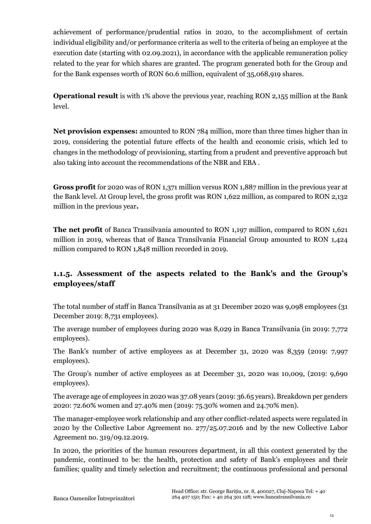achievement of performance/prudential ratios in 2020, to the accomplishment of certain individual eligibility and/or performance criteria as well to the criteria of being an employee at the execution date (starting with 02.09.2021), in accordance with the applicable remuneration policy related to the year for which shares are granted. The program generated both for the Group and for the Bank expenses worth of RON 60.6 million, equivalent of 35,068,919 shares.

**Operational result** is with 1% above the previous year, reaching RON 2,155 million at the Bank level.

**Net provision expenses:** amounted to RON 784 million, more than three times higher than in 2019, considering the potential future effects of the health and economic crisis, which led to changes in the methodology of provisioning, starting from a prudent and preventive approach but also taking into account the recommendations of the NBR and EBA .

**Gross profit** for 2020 was of RON 1,371 million versus RON 1,887 million in the previous year at the Bank level. At Group level, the gross profit was RON 1,622 million, as compared to RON 2,132 million in the previous year**.**

**The net profit** of Banca Transilvania amounted to RON 1,197 million, compared to RON 1,621 million in 2019, whereas that of Banca Transilvania Financial Group amounted to RON 1,424 million compared to RON 1,848 million recorded in 2019.

# **1.1.5. Assessment of the aspects related to the Bank's and the Group's employees/staff**

The total number of staff in Banca Transilvania as at 31 December 2020 was 9,098 employees (31 December 2019: 8,731 employees).

The average number of employees during 2020 was 8,029 in Banca Transilvania (in 2019: 7,772 employees).

The Bank's number of active employees as at December 31, 2020 was 8,359 (2019: 7,997 employees).

The Group's number of active employees as at December 31, 2020 was 10,009, (2019: 9,690 employees).

The average age of employees in 2020 was 37.08 years (2019: 36.65 years). Breakdown per genders 2020: 72.60% women and 27.40% men (2019: 75.30% women and 24.70% men).

The manager-employee work relationship and any other conflict-related aspects were regulated in 2020 by the Collective Labor Agreement no. 277/25.07.2016 and by the new Collective Labor Agreement no. 319/09.12.2019.

In 2020, the priorities of the human resources department, in all this context generated by the pandemic, continued to be: the health, protection and safety of Bank's employees and their families; quality and timely selection and recruitment; the continuous professional and personal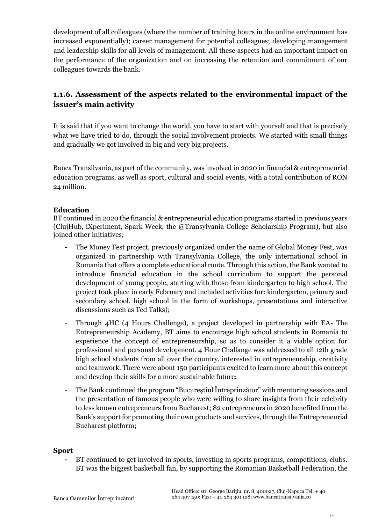development of all colleagues (where the number of training hours in the online environment has increased exponentially); career management for potential colleagues; developing management and leadership skills for all levels of management. All these aspects had an important impact on the performance of the organization and on increasing the retention and commitment of our colleagues towards the bank.

# **1.1.6. Assessment of the aspects related to the environmental impact of the issuer's main activity**

It is said that if you want to change the world, you have to start with yourself and that is precisely what we have tried to do, through the social involvement projects. We started with small things and gradually we got involved in big and very big projects.

Banca Transilvania, as part of the community, was involved in 2020 in financial & entrepreneurial education programs, as well as sport, cultural and social events, with a total contribution of RON 24 million.

#### **Education**

BT continued in 2020 the financial & entrepreneurial education programs started in previous years (ClujHub, iXperiment, Spark Week, the @Transylvania College Scholarship Program), but also joined other initiatives;

- The Money Fest project, previously organized under the name of Global Money Fest, was organized in partnership with Transylvania College, the only international school in Romania that offers a complete educational route. Through this action, the Bank wanted to introduce financial education in the school curriculum to support the personal development of young people, starting with those from kindergarten to high school. The project took place in early February and included activities for: kindergarten, primary and secondary school, high school in the form of workshops, presentations and interactive discussions such as Ted Talks);
- Through 4HC (4 Hours Challenge), a project developed in partnership with EA- The Entrepreneurship Academy, BT aims to encourage high school students in Romania to experience the concept of entrepreneurship, so as to consider it a viable option for professional and personal development. 4 Hour Challange was addressed to all 12th grade high school students from all over the country, interested in entrepreneurship, creativity and teamwork. There were about 150 participants excited to learn more about this concept and develop their skills for a more sustainable future;
- The Bank continued the program "Bucureştiul Întreprinzător" with mentoring sessions and the presentation of famous people who were willing to share insights from their celebrity to less known entrepreneurs from Bucharest; 82 entrepreneurs in 2020 benefited from the Bank's support for promoting their own products and services, through the Entrepreneurial Bucharest platform;

#### **Sport**

BT continued to get involved in sports, investing in sports programs, competitions, clubs. BT was the biggest basketball fan, by supporting the Romanian Basketball Federation, the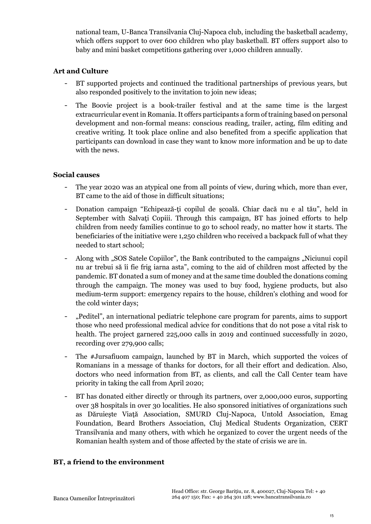national team, U-Banca Transilvania Cluj-Napoca club, including the basketball academy, which offers support to over 600 children who play basketball. BT offers support also to baby and mini basket competitions gathering over 1,000 children annually.

### **Art and Culture**

- BT supported projects and continued the traditional partnerships of previous years, but also responded positively to the invitation to join new ideas;
- The Boovie project is a book-trailer festival and at the same time is the largest extracurricular event in Romania. It offers participants a form of training based on personal development and non-formal means: conscious reading, trailer, acting, film editing and creative writing. It took place online and also benefited from a specific application that participants can download in case they want to know more information and be up to date with the news.

#### **Social causes**

- The year 2020 was an atypical one from all points of view, during which, more than ever, BT came to the aid of those in difficult situations;
- Donation campaign "Echipează-ți copilul de școală. Chiar dacă nu e al tău", held in September with Salvați Copiii. Through this campaign, BT has joined efforts to help children from needy families continue to go to school ready, no matter how it starts. The beneficiaries of the initiative were 1,250 children who received a backpack full of what they needed to start school;
- Along with "SOS Satele Copiilor", the Bank contributed to the campaigns "Niciunui copil nu ar trebui să îi fie frig iarna asta", coming to the aid of children most affected by the pandemic. BT donated a sum of money and at the same time doubled the donations coming through the campaign. The money was used to buy food, hygiene products, but also medium-term support: emergency repairs to the house, children's clothing and wood for the cold winter days;
- "Peditel", an international pediatric telephone care program for parents, aims to support those who need professional medical advice for conditions that do not pose a vital risk to health. The project garnered 225,000 calls in 2019 and continued successfully in 2020, recording over 279,900 calls;
- The #Jursafiuom campaign, launched by BT in March, which supported the voices of Romanians in a message of thanks for doctors, for all their effort and dedication. Also, doctors who need information from BT, as clients, and call the Call Center team have priority in taking the call from April 2020;
- BT has donated either directly or through its partners, over 2,000,000 euros, supporting over 38 hospitals in over 30 localities. He also sponsored initiatives of organizations such as Dăruiește Viață Association, SMURD Cluj-Napoca, Untold Association, Emag Foundation, Beard Brothers Association, Cluj Medical Students Organization, CERT Transilvania and many others, with which he organized to cover the urgent needs of the Romanian health system and of those affected by the state of crisis we are in.

#### **BT, a friend to the environment**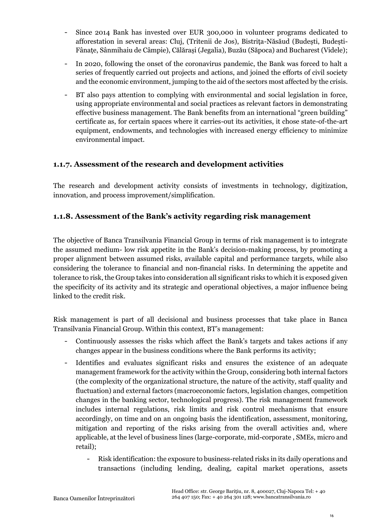- Since 2014 Bank has invested over EUR 300,000 in volunteer programs dedicated to afforestation in several areas: Cluj, (Tritenii de Jos), Bistrița-Năsăud (Budești, Budești-Fânațe, Sânmihaiu de Câmpie), Călărași (Jegalia), Buzău (Săpoca) and Bucharest (Videle);
- In 2020, following the onset of the coronavirus pandemic, the Bank was forced to halt a series of frequently carried out projects and actions, and joined the efforts of civil society and the economic environment, jumping to the aid of the sectors most affected by the crisis.
- BT also pays attention to complying with environmental and social legislation in force, using appropriate environmental and social practices as relevant factors in demonstrating effective business management. The Bank benefits from an international "green building" certificate as, for certain spaces where it carries-out its activities, it chose state-of-the-art equipment, endowments, and technologies with increased energy efficiency to minimize environmental impact.

## **1.1.7. Assessment of the research and development activities**

The research and development activity consists of investments in technology, digitization, innovation, and process improvement/simplification.

## **1.1.8. Assessment of the Bank's activity regarding risk management**

The objective of Banca Transilvania Financial Group in terms of risk management is to integrate the assumed medium- low risk appetite in the Bank's decision-making process, by promoting a proper alignment between assumed risks, available capital and performance targets, while also considering the tolerance to financial and non-financial risks. In determining the appetite and tolerance to risk, the Group takes into consideration all significant risks to which it is exposed given the specificity of its activity and its strategic and operational objectives, a major influence being linked to the credit risk.

Risk management is part of all decisional and business processes that take place in Banca Transilvania Financial Group. Within this context, BT's management:

- Continuously assesses the risks which affect the Bank's targets and takes actions if any changes appear in the business conditions where the Bank performs its activity;
- Identifies and evaluates significant risks and ensures the existence of an adequate management framework for the activity within the Group, considering both internal factors (the complexity of the organizational structure, the nature of the activity, staff quality and fluctuation) and external factors (macroeconomic factors, legislation changes, competition changes in the banking sector, technological progress). The risk management framework includes internal regulations, risk limits and risk control mechanisms that ensure accordingly, on time and on an ongoing basis the identification, assessment, monitoring, mitigation and reporting of the risks arising from the overall activities and, where applicable, at the level of business lines (large-corporate, mid-corporate , SMEs, micro and retail);
	- Risk identification: the exposure to business-related risks in its daily operations and transactions (including lending, dealing, capital market operations, assets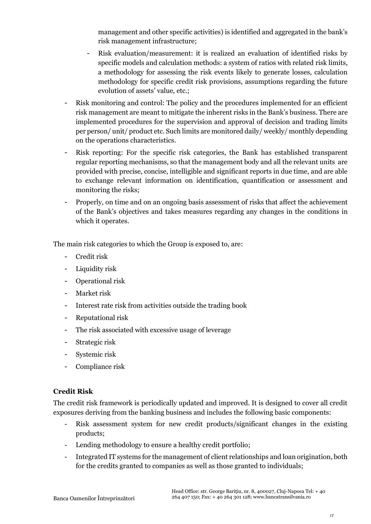management and other specific activities) is identified and aggregated in the bank's risk management infrastructure;

- Risk evaluation/measurement: it is realized an evaluation of identified risks by specific models and calculation methods: a system of ratios with related risk limits, a methodology for assessing the risk events likely to generate losses, calculation methodology for specific credit risk provisions, assumptions regarding the future evolution of assets' value, etc.;
- Risk monitoring and control: The policy and the procedures implemented for an efficient risk management are meant to mitigate the inherent risks in the Bank's business. There are implemented procedures for the supervision and approval of decision and trading limits per person/ unit/ product etc. Such limits are monitored daily/ weekly/ monthly depending on the operations characteristics.
- Risk reporting: For the specific risk categories, the Bank has established transparent regular reporting mechanisms, so that the management body and all the relevant units are provided with precise, concise, intelligible and significant reports in due time, and are able to exchange relevant information on identification, quantification or assessment and monitoring the risks;
- Properly, on time and on an ongoing basis assessment of risks that affect the achievement of the Bank's objectives and takes measures regarding any changes in the conditions in which it operates.

The main risk categories to which the Group is exposed to, are:

- Credit risk
- Liquidity risk
- Operational risk
- Market risk
- Interest rate risk from activities outside the trading book
- Reputational risk
- The risk associated with excessive usage of leverage
- Strategic risk
- Systemic risk
- Compliance risk

#### **Credit Risk**

The credit risk framework is periodically updated and improved. It is designed to cover all credit exposures deriving from the banking business and includes the following basic components:

- Risk assessment system for new credit products/significant changes in the existing products;
- Lending methodology to ensure a healthy credit portfolio;
- Integrated IT systems for the management of client relationships and loan origination, both for the credits granted to companies as well as those granted to individuals;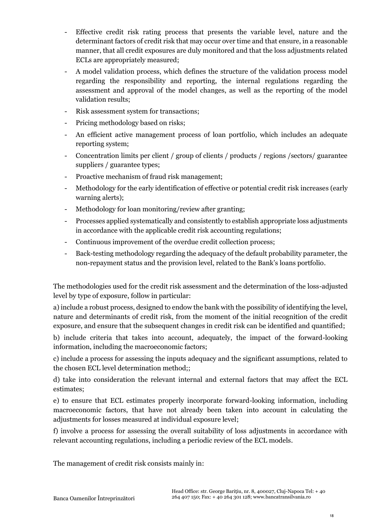- Effective credit risk rating process that presents the variable level, nature and the determinant factors of credit risk that may occur over time and that ensure, in a reasonable manner, that all credit exposures are duly monitored and that the loss adjustments related ECLs are appropriately measured;
- A model validation process, which defines the structure of the validation process model regarding the responsibility and reporting, the internal regulations regarding the assessment and approval of the model changes, as well as the reporting of the model validation results;
- Risk assessment system for transactions;
- Pricing methodology based on risks;
- An efficient active management process of loan portfolio, which includes an adequate reporting system;
- Concentration limits per client / group of clients / products / regions /sectors/ guarantee suppliers / guarantee types;
- Proactive mechanism of fraud risk management;
- Methodology for the early identification of effective or potential credit risk increases (early warning alerts);
- Methodology for loan monitoring/review after granting;
- Processes applied systematically and consistently to establish appropriate loss adjustments in accordance with the applicable credit risk accounting regulations;
- Continuous improvement of the overdue credit collection process;
- Back-testing methodology regarding the adequacy of the default probability parameter, the non-repayment status and the provision level, related to the Bank's loans portfolio.

The methodologies used for the credit risk assessment and the determination of the loss-adjusted level by type of exposure, follow in particular:

a) include a robust process, designed to endow the bank with the possibility of identifying the level, nature and determinants of credit risk, from the moment of the initial recognition of the credit exposure, and ensure that the subsequent changes in credit risk can be identified and quantified;

b) include criteria that takes into account, adequately, the impact of the forward-looking information, including the macroeconomic factors;

c) include a process for assessing the inputs adequacy and the significant assumptions, related to the chosen ECL level determination method;;

d) take into consideration the relevant internal and external factors that may affect the ECL estimates;

e) to ensure that ECL estimates properly incorporate forward-looking information, including macroeconomic factors, that have not already been taken into account in calculating the adjustments for losses measured at individual exposure level;

f) involve a process for assessing the overall suitability of loss adjustments in accordance with relevant accounting regulations, including a periodic review of the ECL models.

The management of credit risk consists mainly in: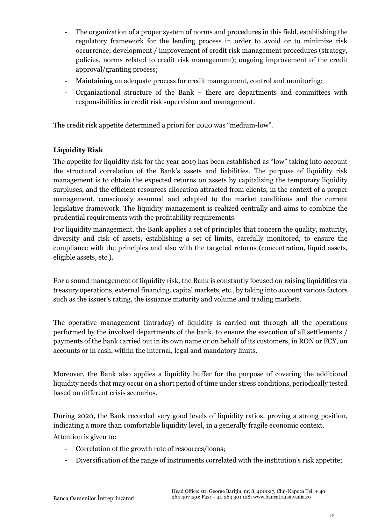- The organization of a proper system of norms and procedures in this field, establishing the regulatory framework for the lending process in order to avoid or to minimize risk occurrence; development / improvement of credit risk management procedures (strategy, policies, norms related to credit risk management); ongoing improvement of the credit approval/granting process;
- Maintaining an adequate process for credit management, control and monitoring;
- Organizational structure of the Bank there are departments and committees with responsibilities in credit risk supervision and management.

The credit risk appetite determined a priori for 2020 was "medium-low".

## **Liquidity Risk**

The appetite for liquidity risk for the year 2019 has been established as "low" taking into account the structural correlation of the Bank's assets and liabilities. The purpose of liquidity risk management is to obtain the expected returns on assets by capitalizing the temporary liquidity surpluses, and the efficient resources allocation attracted from clients, in the context of a proper management, consciously assumed and adapted to the market conditions and the current legislative framework. The liquidity management is realized centrally and aims to combine the prudential requirements with the profitability requirements.

For liquidity management, the Bank applies a set of principles that concern the quality, maturity, diversity and risk of assets, establishing a set of limits, carefully monitored, to ensure the compliance with the principles and also with the targeted returns (concentration, liquid assets, eligible assets, etc.).

For a sound management of liquidity risk, the Bank is constantly focused on raising liquidities via treasury operations, external financing, capital markets, etc., by taking into account various factors such as the issuer's rating, the issuance maturity and volume and trading markets.

The operative management (intraday) of liquidity is carried out through all the operations performed by the involved departments of the bank, to ensure the execution of all settlements / payments of the bank carried out in its own name or on behalf of its customers, in RON or FCY, on accounts or in cash, within the internal, legal and mandatory limits.

Moreover, the Bank also applies a liquidity buffer for the purpose of covering the additional liquidity needs that may occur on a short period of time under stress conditions, periodically tested based on different crisis scenarios.

During 2020, the Bank recorded very good levels of liquidity ratios, proving a strong position, indicating a more than comfortable liquidity level, in a generally fragile economic context.

Attention is given to:

- Correlation of the growth rate of resources/loans;
- Diversification of the range of instruments correlated with the institution's risk appetite;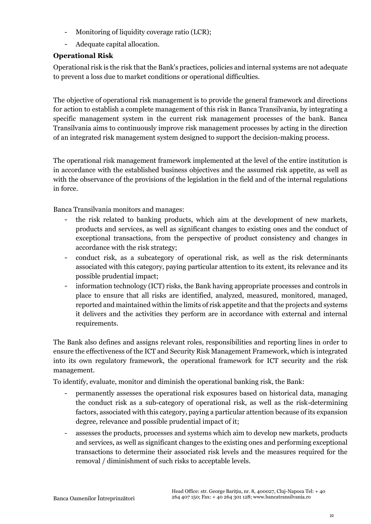- Monitoring of liquidity coverage ratio (LCR);
- Adequate capital allocation.

## **Operational Risk**

Operational risk is the risk that the Bank's practices, policies and internal systems are not adequate to prevent a loss due to market conditions or operational difficulties.

The objective of operational risk management is to provide the general framework and directions for action to establish a complete management of this risk in Banca Transilvania, by integrating a specific management system in the current risk management processes of the bank. Banca Transilvania aims to continuously improve risk management processes by acting in the direction of an integrated risk management system designed to support the decision-making process.

The operational risk management framework implemented at the level of the entire institution is in accordance with the established business objectives and the assumed risk appetite, as well as with the observance of the provisions of the legislation in the field and of the internal regulations in force.

Banca Transilvania monitors and manages:

- the risk related to banking products, which aim at the development of new markets, products and services, as well as significant changes to existing ones and the conduct of exceptional transactions, from the perspective of product consistency and changes in accordance with the risk strategy;
- conduct risk, as a subcategory of operational risk, as well as the risk determinants associated with this category, paying particular attention to its extent, its relevance and its possible prudential impact;
- information technology (ICT) risks, the Bank having appropriate processes and controls in place to ensure that all risks are identified, analyzed, measured, monitored, managed, reported and maintained within the limits of risk appetite and that the projects and systems it delivers and the activities they perform are in accordance with external and internal requirements.

The Bank also defines and assigns relevant roles, responsibilities and reporting lines in order to ensure the effectiveness of the ICT and Security Risk Management Framework, which is integrated into its own regulatory framework, the operational framework for ICT security and the risk management.

To identify, evaluate, monitor and diminish the operational banking risk, the Bank:

- permanently assesses the operational risk exposures based on historical data, managing the conduct risk as a sub-category of operational risk, as well as the risk-determining factors, associated with this category, paying a particular attention because of its expansion degree, relevance and possible prudential impact of it;
- assesses the products, processes and systems which aim to develop new markets, products and services, as well as significant changes to the existing ones and performing exceptional transactions to determine their associated risk levels and the measures required for the removal / diminishment of such risks to acceptable levels.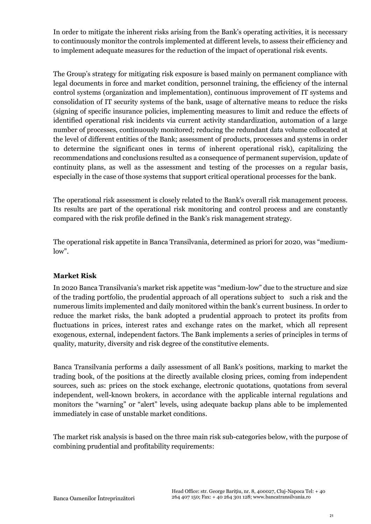In order to mitigate the inherent risks arising from the Bank's operating activities, it is necessary to continuously monitor the controls implemented at different levels, to assess their efficiency and to implement adequate measures for the reduction of the impact of operational risk events.

The Group's strategy for mitigating risk exposure is based mainly on permanent compliance with legal documents in force and market condition, personnel training, the efficiency of the internal control systems (organization and implementation), continuous improvement of IT systems and consolidation of IT security systems of the bank, usage of alternative means to reduce the risks (signing of specific insurance policies, implementing measures to limit and reduce the effects of identified operational risk incidents via current activity standardization, automation of a large number of processes, continuously monitored; reducing the redundant data volume collocated at the level of different entities of the Bank; assessment of products, processes and systems in order to determine the significant ones in terms of inherent operational risk), capitalizing the recommendations and conclusions resulted as a consequence of permanent supervision, update of continuity plans, as well as the assessment and testing of the processes on a regular basis, especially in the case of those systems that support critical operational processes for the bank.

The operational risk assessment is closely related to the Bank's overall risk management process. Its results are part of the operational risk monitoring and control process and are constantly compared with the risk profile defined in the Bank's risk management strategy.

The operational risk appetite in Banca Transilvania, determined as priori for 2020, was "mediumlow".

#### **Market Risk**

In 2020 Banca Transilvania's market risk appetite was "medium-low" due to the structure and size of the trading portfolio, the prudential approach of all operations subject to such a risk and the numerous limits implemented and daily monitored within the bank's current business. In order to reduce the market risks, the bank adopted a prudential approach to protect its profits from fluctuations in prices, interest rates and exchange rates on the market, which all represent exogenous, external, independent factors. The Bank implements a series of principles in terms of quality, maturity, diversity and risk degree of the constitutive elements.

Banca Transilvania performs a daily assessment of all Bank's positions, marking to market the trading book, of the positions at the directly available closing prices, coming from independent sources, such as: prices on the stock exchange, electronic quotations, quotations from several independent, well-known brokers, in accordance with the applicable internal regulations and monitors the "warning" or "alert" levels, using adequate backup plans able to be implemented immediately in case of unstable market conditions.

The market risk analysis is based on the three main risk sub-categories below, with the purpose of combining prudential and profitability requirements: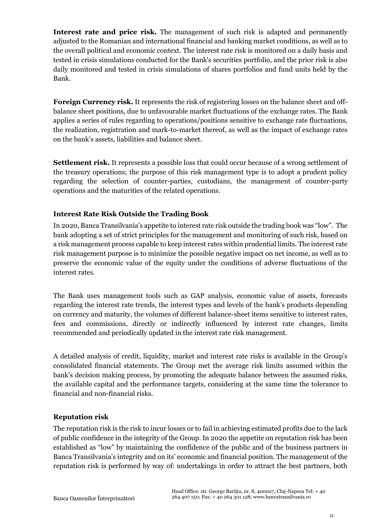**Interest rate and price risk.** The management of such risk is adapted and permanently adjusted to the Romanian and international financial and banking market conditions, as well as to the overall political and economic context. The interest rate risk is monitored on a daily basis and tested in crisis simulations conducted for the Bank's securities portfolio, and the price risk is also daily monitored and tested in crisis simulations of shares portfolios and fund units held by the Bank.

**Foreign Currency risk.** It represents the risk of registering losses on the balance sheet and offbalance sheet positions, due to unfavourable market fluctuations of the exchange rates. The Bank applies a series of rules regarding to operations/positions sensitive to exchange rate fluctuations, the realization, registration and mark-to-market thereof, as well as the impact of exchange rates on the bank's assets, liabilities and balance sheet.

Settlement risk. It represents a possible loss that could occur because of a wrong settlement of the treasury operations; the purpose of this risk management type is to adopt a prudent policy regarding the selection of counter-parties, custodians, the management of counter-party operations and the maturities of the related operations.

## **Interest Rate Risk Outside the Trading Book**

In 2020, Banca Transilvania's appetite to interest rate risk outside the trading book was "low". The bank adopting a set of strict principles for the management and monitoring of such risk, based on a risk management process capable to keep interest rates within prudential limits. The interest rate risk management purpose is to minimize the possible negative impact on net income, as well as to preserve the economic value of the equity under the conditions of adverse fluctuations of the interest rates.

The Bank uses management tools such as GAP analysis, economic value of assets, forecasts regarding the interest rate trends, the interest types and levels of the bank's products depending on currency and maturity, the volumes of different balance-sheet items sensitive to interest rates, fees and commissions, directly or indirectly influenced by interest rate changes, limits recommended and periodically updated in the interest rate risk management.

A detailed analysis of credit, liquidity, market and interest rate risks is available in the Group's consolidated financial statements. The Group met the average risk limits assumed within the bank's decision making process, by promoting the adequate balance between the assumed risks, the available capital and the performance targets, considering at the same time the tolerance to financial and non-financial risks.

## **Reputation risk**

The reputation risk is the risk to incur losses or to fail in achieving estimated profits due to the lack of public confidence in the integrity of the Group. In 2020 the appetite on reputation risk has been established as "low" by maintaining the confidence of the public and of the business partners in Banca Transilvania's integrity and on its' economic and financial position. The management of the reputation risk is performed by way of: undertakings in order to attract the best partners, both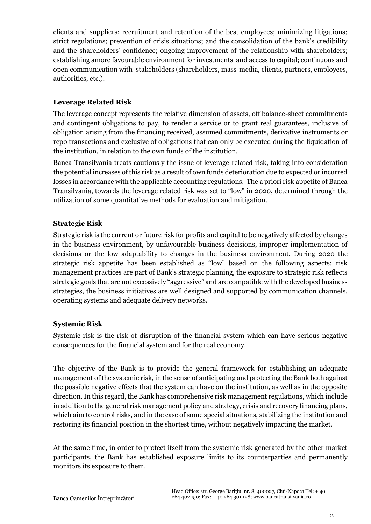clients and suppliers; recruitment and retention of the best employees; minimizing litigations; strict regulations; prevention of crisis situations; and the consolidation of the bank's credibility and the shareholders' confidence; ongoing improvement of the relationship with shareholders; establishing amore favourable environment for investments and access to capital; continuous and open communication with stakeholders (shareholders, mass-media, clients, partners, employees, authorities, etc.).

## **Leverage Related Risk**

The leverage concept represents the relative dimension of assets, off balance-sheet commitments and contingent obligations to pay, to render a service or to grant real guarantees, inclusive of obligation arising from the financing received, assumed commitments, derivative instruments or repo transactions and exclusive of obligations that can only be executed during the liquidation of the institution, in relation to the own funds of the institution.

Banca Transilvania treats cautiously the issue of leverage related risk, taking into consideration the potential increases of this risk as a result of own funds deterioration due to expected or incurred losses in accordance with the applicable accounting regulations. The a priori risk appetite of Banca Transilvania, towards the leverage related risk was set to "low" in 2020, determined through the utilization of some quantitative methods for evaluation and mitigation.

## **Strategic Risk**

Strategic risk is the current or future risk for profits and capital to be negatively affected by changes in the business environment, by unfavourable business decisions, improper implementation of decisions or the low adaptability to changes in the business environment. During 2020 the strategic risk appetite has been established as "low" based on the following aspects: risk management practices are part of Bank's strategic planning, the exposure to strategic risk reflects strategic goals that are not excessively "aggressive" and are compatible with the developed business strategies, the business initiatives are well designed and supported by communication channels, operating systems and adequate delivery networks.

## **Systemic Risk**

Systemic risk is the risk of disruption of the financial system which can have serious negative consequences for the financial system and for the real economy.

The objective of the Bank is to provide the general framework for establishing an adequate management of the systemic risk, in the sense of anticipating and protecting the Bank both against the possible negative effects that the system can have on the institution, as well as in the opposite direction. In this regard, the Bank has comprehensive risk management regulations, which include in addition to the general risk management policy and strategy, crisis and recovery financing plans, which aim to control risks, and in the case of some special situations, stabilizing the institution and restoring its financial position in the shortest time, without negatively impacting the market.

At the same time, in order to protect itself from the systemic risk generated by the other market participants, the Bank has established exposure limits to its counterparties and permanently monitors its exposure to them.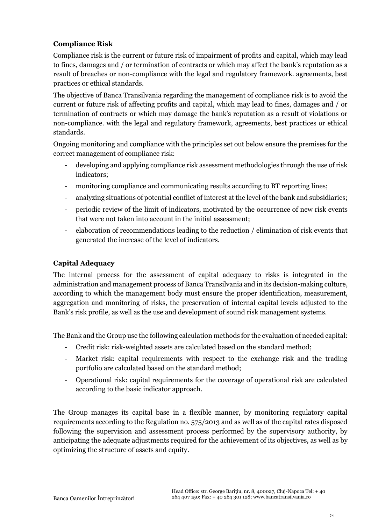## **Compliance Risk**

Compliance risk is the current or future risk of impairment of profits and capital, which may lead to fines, damages and / or termination of contracts or which may affect the bank's reputation as a result of breaches or non-compliance with the legal and regulatory framework. agreements, best practices or ethical standards.

The objective of Banca Transilvania regarding the management of compliance risk is to avoid the current or future risk of affecting profits and capital, which may lead to fines, damages and / or termination of contracts or which may damage the bank's reputation as a result of violations or non-compliance. with the legal and regulatory framework, agreements, best practices or ethical standards.

Ongoing monitoring and compliance with the principles set out below ensure the premises for the correct management of compliance risk:

- developing and applying compliance risk assessment methodologies through the use of risk indicators;
- monitoring compliance and communicating results according to BT reporting lines;
- analyzing situations of potential conflict of interest at the level of the bank and subsidiaries;
- periodic review of the limit of indicators, motivated by the occurrence of new risk events that were not taken into account in the initial assessment;
- elaboration of recommendations leading to the reduction / elimination of risk events that generated the increase of the level of indicators.

## **Capital Adequacy**

The internal process for the assessment of capital adequacy to risks is integrated in the administration and management process of Banca Transilvania and in its decision-making culture, according to which the management body must ensure the proper identification, measurement, aggregation and monitoring of risks, the preservation of internal capital levels adjusted to the Bank's risk profile, as well as the use and development of sound risk management systems.

The Bank and the Group use the following calculation methods for the evaluation of needed capital:

- Credit risk: risk-weighted assets are calculated based on the standard method;
- Market risk: capital requirements with respect to the exchange risk and the trading portfolio are calculated based on the standard method;
- Operational risk: capital requirements for the coverage of operational risk are calculated according to the basic indicator approach.

The Group manages its capital base in a flexible manner, by monitoring regulatory capital requirements according to the Regulation no. 575/2013 and as well as of the capital rates disposed following the supervision and assessment process performed by the supervisory authority, by anticipating the adequate adjustments required for the achievement of its objectives, as well as by optimizing the structure of assets and equity.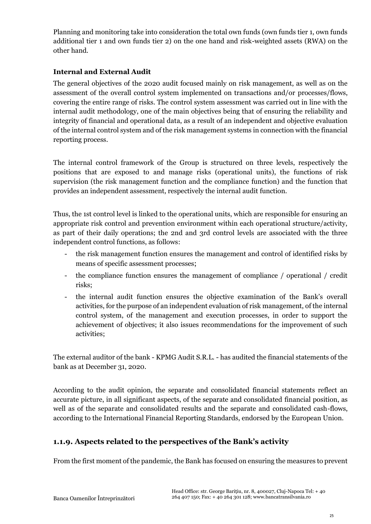Planning and monitoring take into consideration the total own funds (own funds tier 1, own funds additional tier 1 and own funds tier 2) on the one hand and risk-weighted assets (RWA) on the other hand.

## **Internal and External Audit**

The general objectives of the 2020 audit focused mainly on risk management, as well as on the assessment of the overall control system implemented on transactions and/or processes/flows, covering the entire range of risks. The control system assessment was carried out in line with the internal audit methodology, one of the main objectives being that of ensuring the reliability and integrity of financial and operational data, as a result of an independent and objective evaluation of the internal control system and of the risk management systems in connection with the financial reporting process.

The internal control framework of the Group is structured on three levels, respectively the positions that are exposed to and manage risks (operational units), the functions of risk supervision (the risk management function and the compliance function) and the function that provides an independent assessment, respectively the internal audit function.

Thus, the 1st control level is linked to the operational units, which are responsible for ensuring an appropriate risk control and prevention environment within each operational structure/activity, as part of their daily operations; the 2nd and 3rd control levels are associated with the three independent control functions, as follows:

- the risk management function ensures the management and control of identified risks by means of specific assessment processes;
- the compliance function ensures the management of compliance / operational / credit risks;
- the internal audit function ensures the objective examination of the Bank's overall activities, for the purpose of an independent evaluation of risk management, of the internal control system, of the management and execution processes, in order to support the achievement of objectives; it also issues recommendations for the improvement of such activities;

The external auditor of the bank - KPMG Audit S.R.L. - has audited the financial statements of the bank as at December 31, 2020.

According to the audit opinion, the separate and consolidated financial statements reflect an accurate picture, in all significant aspects, of the separate and consolidated financial position, as well as of the separate and consolidated results and the separate and consolidated cash-flows, according to the International Financial Reporting Standards, endorsed by the European Union.

# **1.1.9. Aspects related to the perspectives of the Bank's activity**

From the first moment of the pandemic, the Bank has focused on ensuring the measures to prevent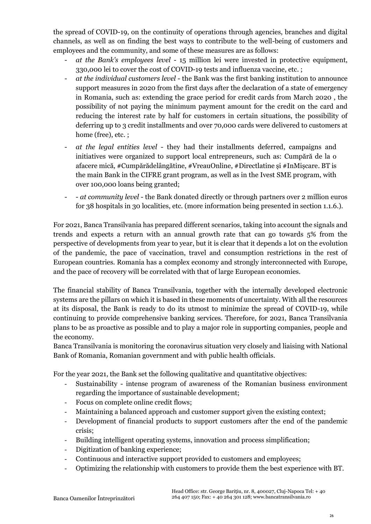the spread of COVID-19, on the continuity of operations through agencies, branches and digital channels, as well as on finding the best ways to contribute to the well-being of customers and employees and the community, and some of these measures are as follows:

- *at the Bank's employees level* 15 million lei were invested in protective equipment, 330,000 lei to cover the cost of COVID-19 tests and influenza vaccine, etc. ;
- *at the individual customers level* the Bank was the first banking institution to announce support measures in 2020 from the first days after the declaration of a state of emergency in Romania, such as: extending the grace period for credit cards from March 2020 , the possibility of not paying the minimum payment amount for the credit on the card and reducing the interest rate by half for customers in certain situations, the possibility of deferring up to 3 credit installments and over 70,000 cards were delivered to customers at home (free), etc.;
- *at the legal entities level*  they had their installments deferred, campaigns and initiatives were organized to support local entrepreneurs, such as: Cumpără de la o afacere mică, #Cumpărădelângătine, #VreauOnline, #Directlatine și #InMișcare. BT is the main Bank in the CIFRE grant program, as well as in the Ivest SME program, with over 100,000 loans being granted;
- - *at community level* the Bank donated directly or through partners over 2 million euros for 38 hospitals in 30 localities, etc. (more information being presented in section 1.1.6.).

For 2021, Banca Transilvania has prepared different scenarios, taking into account the signals and trends and expects a return with an annual growth rate that can go towards 5% from the perspective of developments from year to year, but it is clear that it depends a lot on the evolution of the pandemic, the pace of vaccination, travel and consumption restrictions in the rest of European countries. Romania has a complex economy and strongly interconnected with Europe, and the pace of recovery will be correlated with that of large European economies.

The financial stability of Banca Transilvania, together with the internally developed electronic systems are the pillars on which it is based in these moments of uncertainty. With all the resources at its disposal, the Bank is ready to do its utmost to minimize the spread of COVID-19, while continuing to provide comprehensive banking services. Therefore, for 2021, Banca Transilvania plans to be as proactive as possible and to play a major role in supporting companies, people and the economy.

Banca Transilvania is monitoring the coronavirus situation very closely and liaising with National Bank of Romania, Romanian government and with public health officials.

For the year 2021, the Bank set the following qualitative and quantitative objectives:

- Sustainability intense program of awareness of the Romanian business environment regarding the importance of sustainable development;
- Focus on complete online credit flows;
- Maintaining a balanced approach and customer support given the existing context;
- Development of financial products to support customers after the end of the pandemic crisis;
- Building intelligent operating systems, innovation and process simplification;
- Digitization of banking experience;
- Continuous and interactive support provided to customers and employees;
- Optimizing the relationship with customers to provide them the best experience with BT.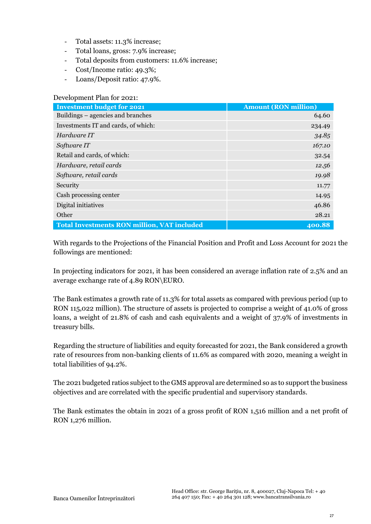- Total assets: 11.3% increase;
- Total loans, gross: 7.9% increase;
- Total deposits from customers: 11.6% increase;
- Cost/Income ratio: 49.3%;
- Loans/Deposit ratio: 47.9%.

| Development Plan for 2021:                         |                             |  |  |  |  |
|----------------------------------------------------|-----------------------------|--|--|--|--|
| <b>Investment budget for 2021</b>                  | <b>Amount (RON million)</b> |  |  |  |  |
| Buildings – agencies and branches                  | 64.60                       |  |  |  |  |
| Investments IT and cards, of which:                | 234.49                      |  |  |  |  |
| Hardware IT                                        | 34.85                       |  |  |  |  |
| Software IT                                        | 167.10                      |  |  |  |  |
| Retail and cards, of which:                        | 32.54                       |  |  |  |  |
| Hardware, retail cards                             | 12.56                       |  |  |  |  |
| Software, retail cards                             | 19.98                       |  |  |  |  |
| Security                                           | 11.77                       |  |  |  |  |
| Cash processing center                             | 14.95                       |  |  |  |  |
| Digital initiatives                                | 46.86                       |  |  |  |  |
| Other                                              | 28.21                       |  |  |  |  |
| <b>Total Investments RON million, VAT included</b> | 400.88                      |  |  |  |  |

With regards to the Projections of the Financial Position and Profit and Loss Account for 2021 the followings are mentioned:

In projecting indicators for 2021, it has been considered an average inflation rate of 2.5% and an average exchange rate of 4.89 RON\EURO.

The Bank estimates a growth rate of 11.3% for total assets as compared with previous period (up to RON 115,022 million). The structure of assets is projected to comprise a weight of 41.0% of gross loans, a weight of 21.8% of cash and cash equivalents and a weight of 37.9% of investments in treasury bills.

Regarding the structure of liabilities and equity forecasted for 2021, the Bank considered a growth rate of resources from non-banking clients of 11.6% as compared with 2020, meaning a weight in total liabilities of 94.2%.

The 2021 budgeted ratios subject to the GMS approval are determined so as to support the business objectives and are correlated with the specific prudential and supervisory standards.

The Bank estimates the obtain in 2021 of a gross profit of RON 1,516 million and a net profit of RON 1,276 million.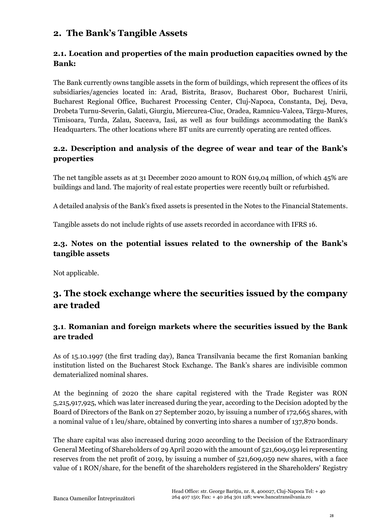# **2. The Bank's Tangible Assets**

# **2.1. Location and properties of the main production capacities owned by the Bank:**

The Bank currently owns tangible assets in the form of buildings, which represent the offices of its subsidiaries/agencies located in: Arad, Bistrita, Brasov, Bucharest Obor, Bucharest Unirii, Bucharest Regional Office, Bucharest Processing Center, Cluj-Napoca, Constanta, Dej, Deva, Drobeta Turnu-Severin, Galati, Giurgiu, Miercurea-Ciuc, Oradea, Ramnicu-Valcea, Târgu-Mures, Timisoara, Turda, Zalau, Suceava, Iasi, as well as four buildings accommodating the Bank's Headquarters. The other locations where BT units are currently operating are rented offices.

# **2.2. Description and analysis of the degree of wear and tear of the Bank's properties**

The net tangible assets as at 31 December 2020 amount to RON 619,04 million, of which 45% are buildings and land. The majority of real estate properties were recently built or refurbished.

A detailed analysis of the Bank's fixed assets is presented in the Notes to the Financial Statements.

Tangible assets do not include rights of use assets recorded in accordance with IFRS 16.

## **2.3. Notes on the potential issues related to the ownership of the Bank's tangible assets**

Not applicable.

# **3. The stock exchange where the securities issued by the company are traded**

# **3.1**. **Romanian and foreign markets where the securities issued by the Bank are traded**

As of 15.10.1997 (the first trading day), Banca Transilvania became the first Romanian banking institution listed on the Bucharest Stock Exchange. The Bank's shares are indivisible common dematerialized nominal shares.

At the beginning of 2020 the share capital registered with the Trade Register was RON 5,215,917,925, which was later increased during the year, according to the Decision adopted by the Board of Directors of the Bank on 27 September 2020, by issuing a number of 172,665 shares, with a nominal value of 1 leu/share, obtained by converting into shares a number of 137,870 bonds.

The share capital was also increased during 2020 according to the Decision of the Extraordinary General Meeting of Shareholders of 29 April 2020 with the amount of 521,609,059 lei representing reserves from the net profit of 2019, by issuing a number of 521,609,059 new shares, with a face value of 1 RON/share, for the benefit of the shareholders registered in the Shareholders' Registry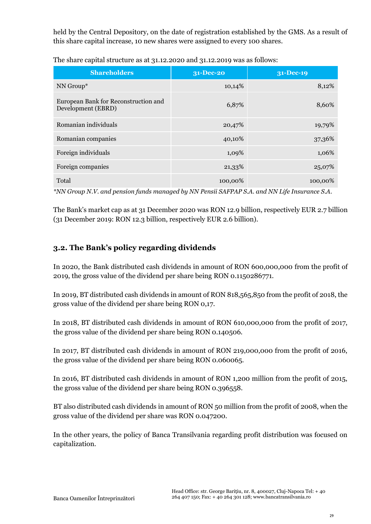held by the Central Depository, on the date of registration established by the GMS. As a result of this share capital increase, 10 new shares were assigned to every 100 shares.

**Shareholders 31-Dec-20 31-Dec-19** NN Group\*  $10,14\%$   $3,12\%$ European Bank for Reconstruction and European Bank for Reconstruction and the term of 6,87% 8,60% Romanian individuals 19,79% 19,79%

The share capital structure as at 31.12.2020 and 31.12.2019 was as follows:

 $\rm Total$  100,00%  $\rm 100,00\%$  100,00%  $\rm 100,00\%$ *\*NN Group N.V. and pension funds managed by NN Pensii SAFPAP S.A. and NN Life Insurance S.A.*

Romanian companies and the state of the state 40,10% 37,36%

Foreign individuals 1,09% 1,06% 1,06%

Foreign companies 21,33% 25,07% 25,07%

The Bank's market cap as at 31 December 2020 was RON 12.9 billion, respectively EUR 2.7 billion (31 December 2019: RON 12.3 billion, respectively EUR 2.6 billion).

# **3.2. The Bank's policy regarding dividends**

In 2020, the Bank distributed cash dividends in amount of RON 600,000,000 from the profit of 2019, the gross value of the dividend per share being RON 0.1150286771.

In 2019, BT distributed cash dividends in amount of RON 818,565,850 from the profit of 2018, the gross value of the dividend per share being RON 0,17.

In 2018, BT distributed cash dividends in amount of RON 610,000,000 from the profit of 2017, the gross value of the dividend per share being RON 0.140506.

In 2017, BT distributed cash dividends in amount of RON 219,000,000 from the profit of 2016, the gross value of the dividend per share being RON 0.060065.

In 2016, BT distributed cash dividends in amount of RON 1,200 million from the profit of 2015, the gross value of the dividend per share being RON 0.396558.

BT also distributed cash dividends in amount of RON 50 million from the profit of 2008, when the gross value of the dividend per share was RON 0.047200.

In the other years, the policy of Banca Transilvania regarding profit distribution was focused on capitalization.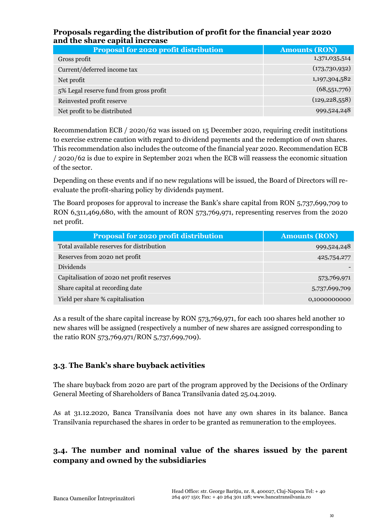## **Proposals regarding the distribution of profit for the financial year 2020 and the share capital increase**

| <b>Proposal for 2020 profit distribution</b> | <b>Amounts (RON)</b> |
|----------------------------------------------|----------------------|
| Gross profit                                 | 1,371,035,514        |
| Current/deferred income tax                  | (173,730,932)        |
| Net profit                                   | 1,197,304,582        |
| 5% Legal reserve fund from gross profit      | (68,551,776)         |
| Reinvested profit reserve                    | (129, 228, 558)      |
| Net profit to be distributed                 | 999,524,248          |

Recommendation ECB / 2020/62 was issued on 15 December 2020, requiring credit institutions to exercise extreme caution with regard to dividend payments and the redemption of own shares. This recommendation also includes the outcome of the financial year 2020. Recommendation ECB / 2020/62 is due to expire in September 2021 when the ECB will reassess the economic situation of the sector.

Depending on these events and if no new regulations will be issued, the Board of Directors will reevaluate the profit-sharing policy by dividends payment.

The Board proposes for approval to increase the Bank's share capital from RON 5,737,699,709 to RON 6,311,469,680, with the amount of RON 573,769,971, representing reserves from the 2020 net profit.

| <b>Proposal for 2020 profit distribution</b> | <b>Amounts (RON)</b> |
|----------------------------------------------|----------------------|
| Total available reserves for distribution    | 999,524,248          |
| Reserves from 2020 net profit                | 425,754,277          |
| Dividends                                    |                      |
| Capitalisation of 2020 net profit reserves   | 573,769,971          |
| Share capital at recording date              | 5,737,699,709        |
| Yield per share % capitalisation             | 0,1000000000         |

As a result of the share capital increase by RON 573,769,971, for each 100 shares held another 10 new shares will be assigned (respectively a number of new shares are assigned corresponding to the ratio RON 573,769,971/RON 5,737,699,709).

# **3.3**. **The Bank's share buyback activities**

The share buyback from 2020 are part of the program approved by the Decisions of the Ordinary General Meeting of Shareholders of Banca Transilvania dated 25.04.2019.

As at 31.12.2020, Banca Transilvania does not have any own shares in its balance. Banca Transilvania repurchased the shares in order to be granted as remuneration to the employees.

# **3.4. The number and nominal value of the shares issued by the parent company and owned by the subsidiaries**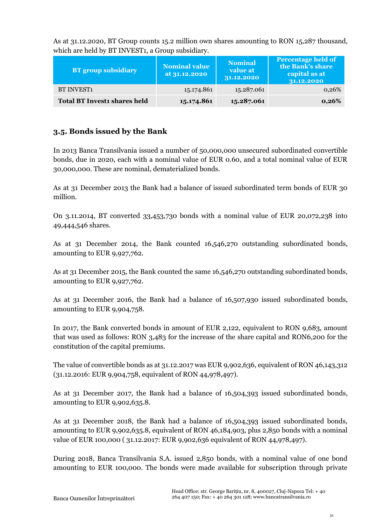As at 31.12.2020, BT Group counts 15.2 million own shares amounting to RON 15,287 thousand, which are held by BT INVEST1, a Group subsidiary.

| <b>BT</b> group subsidiary          | <b>Nominal value</b><br>at 31.12.2020 | <b>Nominal</b><br>value at<br>31.12.2020 | <b>Percentage held of</b><br>the Bank's share<br>capital as at<br>31.12.2020 |
|-------------------------------------|---------------------------------------|------------------------------------------|------------------------------------------------------------------------------|
| <b>BT INVEST1</b>                   | 15.174.861                            | 15.287.061                               | 0,26%                                                                        |
| <b>Total BT Investi shares held</b> | 15.174.861                            | 15.287.061                               | 0,26%                                                                        |

## **3.5. Bonds issued by the Bank**

In 2013 Banca Transilvania issued a number of 50,000,000 unsecured subordinated convertible bonds, due in 2020, each with a nominal value of EUR 0.60, and a total nominal value of EUR 30,000,000. These are nominal, dematerialized bonds.

As at 31 December 2013 the Bank had a balance of issued subordinated term bonds of EUR 30 million.

On 3.11.2014, BT converted 33,453,730 bonds with a nominal value of EUR 20,072,238 into 49,444,546 shares.

As at 31 December 2014, the Bank counted 16,546,270 outstanding subordinated bonds, amounting to EUR 9,927,762.

As at 31 December 2015, the Bank counted the same 16,546,270 outstanding subordinated bonds, amounting to EUR 9,927,762.

As at 31 December 2016, the Bank had a balance of 16,507,930 issued subordinated bonds, amounting to EUR 9,904,758.

In 2017, the Bank converted bonds in amount of EUR 2,122, equivalent to RON 9,683, amount that was used as follows: RON 3,483 for the increase of the share capital and RON6,200 for the constitution of the capital premiums.

The value of convertible bonds as at 31.12.2017 was EUR 9,902,636, equivalent of RON 46,143,312 (31.12.2016: EUR 9,904,758, equivalent of RON 44,978,497).

As at 31 December 2017, the Bank had a balance of 16,504,393 issued subordinated bonds, amounting to EUR 9,902,635.8.

As at 31 December 2018, the Bank had a balance of 16,504,393 issued subordinated bonds, amounting to EUR 9,902,635.8, equivalent of RON 46,184,903, plus 2,850 bonds with a nominal value of EUR 100,000 ( 31.12.2017: EUR 9,902,636 equivalent of RON 44,978,497).

During 2018, Banca Transilvania S.A. issued 2,850 bonds, with a nominal value of one bond amounting to EUR 100,000. The bonds were made available for subscription through private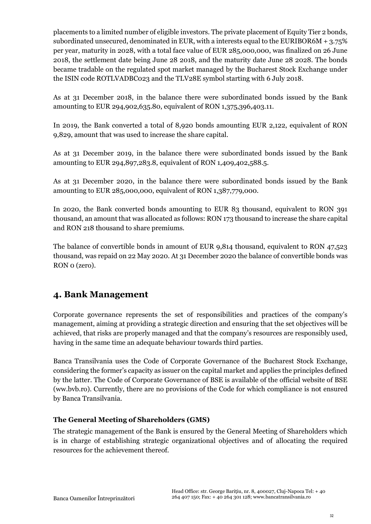placements to a limited number of eligible investors. The private placement of Equity Tier 2 bonds, subordinated unsecured, denominated in EUR, with a interests equal to the EURIBOR6M  $+ 3.75\%$ per year, maturity in 2028, with a total face value of EUR 285,000,000, was finalized on 26 June 2018, the settlement date being June 28 2018, and the maturity date June 28 2028. The bonds became tradable on the regulated spot market managed by the Bucharest Stock Exchange under the ISIN code ROTLVADBC023 and the TLV28E symbol starting with 6 July 2018.

As at 31 December 2018, in the balance there were subordinated bonds issued by the Bank amounting to EUR 294,902,635.80, equivalent of RON 1,375,396,403.11.

In 2019, the Bank converted a total of 8,920 bonds amounting EUR 2,122, equivalent of RON 9,829, amount that was used to increase the share capital.

As at 31 December 2019, in the balance there were subordinated bonds issued by the Bank amounting to EUR 294,897,283.8, equivalent of RON 1,409,402,588.5.

As at 31 December 2020, in the balance there were subordinated bonds issued by the Bank amounting to EUR 285,000,000, equivalent of RON 1,387,779,000.

In 2020, the Bank converted bonds amounting to EUR 83 thousand, equivalent to RON 391 thousand, an amount that was allocated as follows: RON 173 thousand to increase the share capital and RON 218 thousand to share premiums.

The balance of convertible bonds in amount of EUR 9,814 thousand, equivalent to RON 47,523 thousand, was repaid on 22 May 2020. At 31 December 2020 the balance of convertible bonds was RON 0 (zero).

# **4. Bank Management**

Corporate governance represents the set of responsibilities and practices of the company's management, aiming at providing a strategic direction and ensuring that the set objectives will be achieved, that risks are properly managed and that the company's resources are responsibly used, having in the same time an adequate behaviour towards third parties.

Banca Transilvania uses the Code of Corporate Governance of the Bucharest Stock Exchange, considering the former's capacity as issuer on the capital market and applies the principles defined by the latter. The Code of Corporate Governance of BSE is available of the official website of BSE (ww.bvb.ro). Currently, there are no provisions of the Code for which compliance is not ensured by Banca Transilvania.

#### **The General Meeting of Shareholders (GMS)**

The strategic management of the Bank is ensured by the General Meeting of Shareholders which is in charge of establishing strategic organizational objectives and of allocating the required resources for the achievement thereof.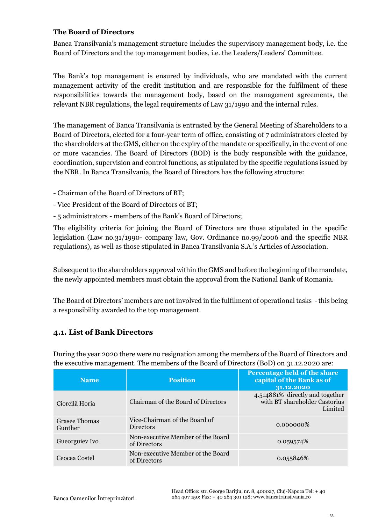#### **The Board of Directors**

Banca Transilvania's management structure includes the supervisory management body, i.e. the Board of Directors and the top management bodies, i.e. the Leaders/Leaders' Committee.

The Bank's top management is ensured by individuals, who are mandated with the current management activity of the credit institution and are responsible for the fulfilment of these responsibilities towards the management body, based on the management agreements, the relevant NBR regulations, the legal requirements of Law 31/1990 and the internal rules.

The management of Banca Transilvania is entrusted by the General Meeting of Shareholders to a Board of Directors, elected for a four-year term of office, consisting of 7 administrators elected by the shareholders at the GMS, either on the expiry of the mandate or specifically, in the event of one or more vacancies. The Board of Directors (BOD) is the body responsible with the guidance, coordination, supervision and control functions, as stipulated by the specific regulations issued by the NBR. In Banca Transilvania, the Board of Directors has the following structure:

- Chairman of the Board of Directors of BT;
- Vice President of the Board of Directors of BT;
- 5 administrators members of the Bank's Board of Directors;

The eligibility criteria for joining the Board of Directors are those stipulated in the specific legislation (Law no.31/1990- company law, Gov. Ordinance no.99/2006 and the specific NBR regulations), as well as those stipulated in Banca Transilvania S.A.'s Articles of Association.

Subsequent to the shareholders approval within the GMS and before the beginning of the mandate, the newly appointed members must obtain the approval from the National Bank of Romania.

The Board of Directors' members are not involved in the fulfilment of operational tasks - this being a responsibility awarded to the top management.

#### **4.1. List of Bank Directors**

During the year 2020 there were no resignation among the members of the Board of Directors and the executive management. The members of the Board of Directors (BoD) on 31.12.2020 are:

| <b>Name</b>                     | <b>Position</b>                                   | <b>Percentage held of the share</b><br>capital of the Bank as of<br>31.12.2020 |
|---------------------------------|---------------------------------------------------|--------------------------------------------------------------------------------|
| Ciorcilă Horia                  | Chairman of the Board of Directors                | 4.514881% directly and together<br>with BT shareholder Castorius<br>Limited    |
| <b>Grasee Thomas</b><br>Gunther | Vice-Chairman of the Board of<br><b>Directors</b> | $0.000000\%$                                                                   |
| Gueorguiev Ivo                  | Non-executive Member of the Board<br>of Directors | 0.059574\%                                                                     |
| Ceocea Costel                   | Non-executive Member of the Board<br>of Directors | 0.055846%                                                                      |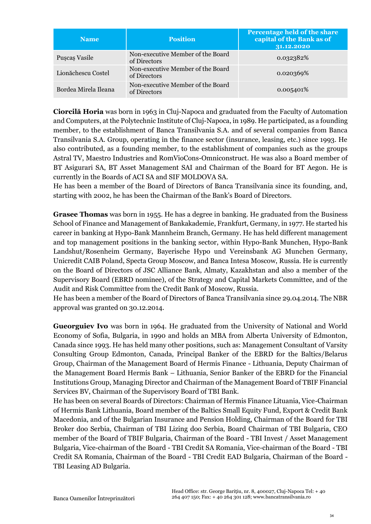| <b>Name</b>          | <b>Position</b>                                   | Percentage held of the share<br>capital of the Bank as of<br>31.12.2020 |
|----------------------|---------------------------------------------------|-------------------------------------------------------------------------|
| Pușcaș Vasile        | Non-executive Member of the Board<br>of Directors | 0.032382%                                                               |
| Lionăchescu Costel   | Non-executive Member of the Board<br>of Directors | 0.020369%                                                               |
| Bordea Mirela Ileana | Non-executive Member of the Board<br>of Directors | 0.005401%                                                               |

**Ciorcilă Horia** was born in 1963 in Cluj-Napoca and graduated from the Faculty of Automation and Computers, at the Polytechnic Institute of Cluj-Napoca, in 1989. He participated, as a founding member, to the establishment of Banca Transilvania S.A. and of several companies from Banca Transilvania S.A. Group, operating in the finance sector (insurance, leasing, etc.) since 1993. He also contributed, as a founding member, to the establishment of companies such as the groups Astral TV, Maestro Industries and RomVioCons-Omniconstruct. He was also a Board member of BT Asigurari SA, BT Asset Management SAI and Chairman of the Board for BT Aegon. He is currently in the Boards of ACI SA and SIF MOLDOVA SA.

He has been a member of the Board of Directors of Banca Transilvania since its founding, and, starting with 2002, he has been the Chairman of the Bank's Board of Directors.

**Grasee Thomas** was born in 1955. He has a degree in banking. He graduated from the Business School of Finance and Management of Bankakademie, Frankfurt, Germany, in 1977. He started his career in banking at Hypo-Bank Mannheim Branch, Germany. He has held different management and top management positions in the banking sector, within Hypo-Bank Munchen, Hypo-Bank Landshut/Rosenheim Germany, Bayerische Hypo und Vereinsbank AG Munchen Germany, Unicredit CAIB Poland, Specta Group Moscow, and Banca Intesa Moscow, Russia. He is currently on the Board of Directors of JSC Alliance Bank, Almaty, Kazakhstan and also a member of the Supervisory Board (EBRD nominee), of the Strategy and Capital Markets Committee, and of the Audit and Risk Committee from the Credit Bank of Moscow, Russia.

He has been a member of the Board of Directors of Banca Transilvania since 29.04.2014. The NBR approval was granted on 30.12.2014.

**Gueorguiev Ivo** was born in 1964. He graduated from the University of National and World Economy of Sofia, Bulgaria, in 1990 and holds an MBA from Alberta University of Edmonton, Canada since 1993. He has held many other positions, such as: Management Consultant of Varsity Consulting Group Edmonton, Canada, Principal Banker of the EBRD for the Baltics/Belarus Group, Chairman of the Management Board of Hermis Finance - Lithuania, Deputy Chairman of the Management Board Hermis Bank – Lithuania, Senior Banker of the EBRD for the Financial Institutions Group, Managing Director and Chairman of the Management Board of TBIF Financial Services BV, Chairman of the Supervisory Board of TBI Bank.

He has been on several Boards of Directors: Chairman of Hermis Finance Lituania, Vice-Chairman of Hermis Bank Lithuania, Board member of the Baltics Small Equity Fund, Export & Credit Bank Macedonia, and of the Bulgarian Insurance and Pension Holding, Chairman of the Board for TBI Broker doo Serbia, Chairman of TBI Lizing doo Serbia, Board Chairman of TBI Bulgaria, CEO member of the Board of TBIF Bulgaria, Chairman of the Board - TBI Invest / Asset Management Bulgaria, Vice-chairman of the Board - TBI Credit SA Romania, Vice-chairman of the Board - TBI Credit SA Romania, Chairman of the Board - TBI Credit EAD Bulgaria, Chairman of the Board - TBI Leasing AD Bulgaria.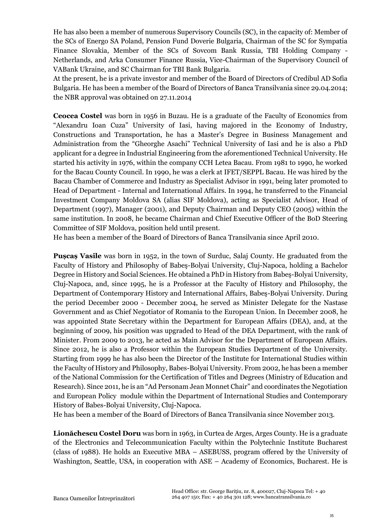He has also been a member of numerous Supervisory Councils (SC), in the capacity of: Member of the SCs of Energo SA Poland, Pension Fund Doverie Bulgaria, Chairman of the SC for Sympatia Finance Slovakia, Member of the SCs of Sovcom Bank Russia, TBI Holding Company - Netherlands, and Arka Consumer Finance Russia, Vice-Chairman of the Supervisory Council of VABank Ukraine, and SC Chairman for TBI Bank Bulgaria.

At the present, he is a private investor and member of the Board of Directors of Credibul AD Sofia Bulgaria. He has been a member of the Board of Directors of Banca Transilvania since 29.04.2014; the NBR approval was obtained on 27.11.2014

**Ceocea Costel** was born in 1956 in Buzau. He is a graduate of the Faculty of Economics from "Alexandru Ioan Cuza" University of Iasi, having majored in the Economy of Industry, Constructions and Transportation, he has a Master's Degree in Business Management and Administration from the "Gheorghe Asachi" Technical University of Iasi and he is also a PhD applicant for a degree in Industrial Engineering from the aforementioned Technical University. He started his activity in 1976, within the company CCH Letea Bacau. From 1981 to 1990, he worked for the Bacau County Council. In 1990, he was a clerk at IFET/SEPPL Bacau. He was hired by the Bacau Chamber of Commerce and Industry as Specialist Advisor in 1991, being later promoted to Head of Department - Internal and International Affairs. In 1994, he transferred to the Financial Investment Company Moldova SA (alias SIF Moldova), acting as Specialist Advisor, Head of Department (1997), Manager (2001), and Deputy Chairman and Deputy CEO (2005) within the same institution. In 2008, he became Chairman and Chief Executive Officer of the BoD Steering Committee of SIF Moldova, position held until present.

He has been a member of the Board of Directors of Banca Transilvania since April 2010.

**Pușcaș Vasile** was born in 1952, in the town of Surduc, Salaj County. He graduated from the Faculty of History and Philosophy of Babeş-Bolyai University, Cluj-Napoca, holding a Bachelor Degree in History and Social Sciences. He obtained a PhD in History from Babeş-Bolyai University, Cluj-Napoca, and, since 1995, he is a Professor at the Faculty of History and Philosophy, the Department of Contemporary History and International Affairs, Babeş-Bolyai University. During the period December 2000 - December 2004, he served as Minister Delegate for the Nastase Government and as Chief Negotiator of Romania to the European Union. In December 2008, he was appointed State Secretary within the Department for European Affairs (DEA), and, at the beginning of 2009, his position was upgraded to Head of the DEA Department, with the rank of Minister. From 2009 to 2013, he acted as Main Advisor for the Department of European Affairs. Since 2012, he is also a Professor within the European Studies Department of the University. Starting from 1999 he has also been the Director of the Institute for International Studies within the Faculty of History and Philosophy, Babes-Bolyai University. From 2002, he has been a member of the National Commission for the Certification of Titles and Degrees (Ministry of Education and Research). Since 2011, he is an "Ad Personam Jean Monnet Chair" and coordinates the Negotiation and European Policy module within the Department of International Studies and Contemporary History of Babes-Bolyai University, Cluj-Napoca.

He has been a member of the Board of Directors of Banca Transilvania since November 2013.

**Lionăchescu Costel Doru** was born in 1963, in Curtea de Arges, Arges County. He is a graduate of the Electronics and Telecommunication Faculty within the Polytechnic Institute Bucharest (class of 1988). He holds an Executive MBA – ASEBUSS, program offered by the University of Washington, Seattle, USA, in cooperation with ASE – Academy of Economics, Bucharest. He is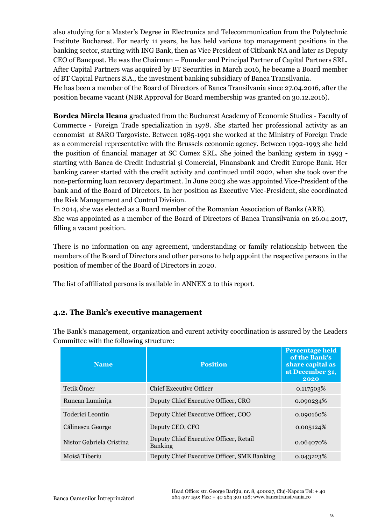also studying for a Master's Degree in Electronics and Telecommunication from the Polytechnic Institute Bucharest. For nearly 11 years, he has held various top management positions in the banking sector, starting with ING Bank, then as Vice President of Citibank NA and later as Deputy CEO of Bancpost. He was the Chairman – Founder and Principal Partner of Capital Partners SRL. After Capital Partners was acquired by BT Securities in March 2016, he became a Board member of BT Capital Partners S.A., the investment banking subsidiary of Banca Transilvania. He has been a member of the Board of Directors of Banca Transilvania since 27.04.2016, after the position became vacant (NBR Approval for Board membership was granted on 30.12.2016).

**Bordea Mirela Ileana** graduated from the Bucharest Academy of Economic Studies - Faculty of Commerce - Foreign Trade specialization in 1978. She started her professional activity as an economist at SARO Targoviste. Between 1985-1991 she worked at the Ministry of Foreign Trade as a commercial representative with the Brussels economic agency. Between 1992-1993 she held the position of financial manager at SC Comex SRL. She joined the banking system in 1993 starting with Banca de Credit Industrial şi Comercial, Finansbank and Credit Europe Bank. Her banking career started with the credit activity and continued until 2002, when she took over the non-performing loan recovery department. In June 2003 she was appointed Vice-President of the bank and of the Board of Directors. In her position as Executive Vice-President, she coordinated the Risk Management and Control Division.

In 2014, she was elected as a Board member of the Romanian Association of Banks (ARB). She was appointed as a member of the Board of Directors of Banca Transilvania on 26.04.2017, filling a vacant position.

There is no information on any agreement, understanding or family relationship between the members of the Board of Directors and other persons to help appoint the respective persons in the position of member of the Board of Directors in 2020.

The list of affiliated persons is available in ANNEX 2 to this report.

## **4.2. The Bank's executive management**

| <b>Name</b>              | <b>Position</b>                                          | <b>Percentage held</b><br>of the Bank's<br>share capital as<br>at December 31,<br>2020 |
|--------------------------|----------------------------------------------------------|----------------------------------------------------------------------------------------|
| Tetik Ömer               | <b>Chief Executive Officer</b>                           | 0.117503%                                                                              |
| Runcan Luminita          | Deputy Chief Executive Officer, CRO                      | 0.090234%                                                                              |
| Toderici Leontin         | Deputy Chief Executive Officer, COO                      | 0.090160%                                                                              |
| Călinescu George         | Deputy CEO, CFO                                          | 0.005124%                                                                              |
| Nistor Gabriela Cristina | Deputy Chief Executive Officer, Retail<br><b>Banking</b> | 0.064070%                                                                              |
| Moisă Tiberiu            | Deputy Chief Executive Officer, SME Banking              | 0.043223\%                                                                             |

The Bank's management, organization and curent activity coordination is assured by the Leaders Committee with the following structure: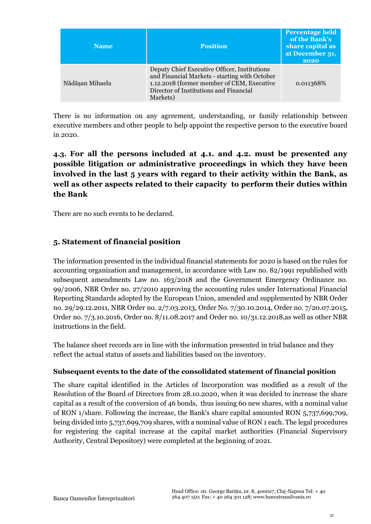| <b>Name</b>     | <b>Position</b>                                                                                                                                                                                   | <b>Percentage held</b><br>of the Bank's<br>share capital as<br>at December 31,<br>2020 |
|-----------------|---------------------------------------------------------------------------------------------------------------------------------------------------------------------------------------------------|----------------------------------------------------------------------------------------|
| Nădășan Mihaela | Deputy Chief Executive Officer, Institutions<br>and Financial Markets - starting with October<br>1.12.2018 (former member of CEM, Executive<br>Director of Institutions and Financial<br>Markets) | 0.011368%                                                                              |

There is no information on any agreement, understanding, or family relationship between executive members and other people to help appoint the respective person to the executive board in 2020.

**4.3. For all the persons included at 4.1. and 4.2. must be presented any possible litigation or administrative proceedings in which they have been involved in the last 5 years with regard to their activity within the Bank, as well as other aspects related to their capacity to perform their duties within the Bank**

There are no such events to be declared.

## **5. Statement of financial position**

The information presented in the individual financial statements for 2020 is based on the rules for accounting organization and management, in accordance with Law no. 82/1991 republished with subsequent amendments Law no. 163/2018 and the Government Emergency Ordinance no. 99/2006, NBR Order no. 27/2010 approving the accounting rules under International Financial Reporting Standards adopted by the European Union, amended and supplemented by NBR Order no. 29/29.12.2011, NBR Order no. 2/7.03.2013, Order No. 7/30.10.2014, Order no. 7/20.07.2015, Order no. 7/3.10.2016, Order no. 8/11.08.2017 and Order no. 10/31.12.2018,as well as other NBR instructions in the field.

The balance sheet records are in line with the information presented in trial balance and they reflect the actual status of assets and liabilities based on the inventory.

#### **Subsequent events to the date of the consolidated statement of financial position**

The share capital identified in the Articles of Incorporation was modified as a result of the Resolution of the Board of Directors from 28.10.2020, when it was decided to increase the share capital as a result of the conversion of 46 bonds, thus issuing 60 new shares, with a nominal value of RON 1/share. Following the increase, the Bank's share capital amounted RON 5,737,699,709, being divided into 5,737,699,709 shares, with a nominal value of RON 1 each. The legal procedures for registering the capital increase at the capital market authorities (Financial Supervisory Authority, Central Depository) were completed at the beginning of 2021.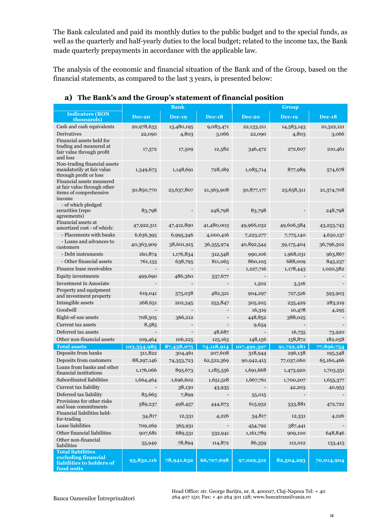The Bank calculated and paid its monthly duties to the public budget and to the special funds, as well as the quarterly and half-yearly duties to the local budget; related to the income tax, the Bank made quarterly prepayments in accordance with the applicable law.

The analysis of the economic and financial situation of the Bank and of the Group, based on the financial statements, as compared to the last 3 years, is presented below:

|                                                                                               |             | <b>Bank</b>              |               | Group       |               |               |
|-----------------------------------------------------------------------------------------------|-------------|--------------------------|---------------|-------------|---------------|---------------|
| <b>Indicators (RON</b><br>thousands)                                                          | Dec-20      | <b>Dec-19</b>            | <b>Dec-18</b> | Dec-20      | <b>Dec-19</b> | <b>Dec-18</b> |
| Cash and cash equivalents                                                                     | 20,978,633  | 13,480,195               | 9,083,471     | 22,133,211  | 14,583,143    | 10,322,121    |
| Derivatives                                                                                   | 22,090      | 4,803                    | 3,066         | 22,090      | 4,803         | 3,066         |
| Financial assets held for<br>trading and measured at<br>fair value through profit<br>and loss | 17,572      | 17,509                   | 12,582        | 346,472     | 272,607       | 210,461       |
| Non-trading financial assets<br>mandatorily at fair value<br>through profit or loss           | 1,349,673   | 1,148,691                | 728,189       | 1,085,714   | 877,989       | 574,678       |
| Financial assets measured<br>at fair value through other<br>items of comprehensive<br>income  | 30,850,770  | 23,637,807               | 21,363,908    | 30,877,177  | 23,658,311    | 21,374,708    |
| - of which pledged<br>securities (repo<br>agreements)                                         | 83,798      |                          | 248,798       | 83,798      |               | 248,798       |
| Financial assets at<br>amortized cost - of which:                                             | 47,922,311  | 47,412,890               | 41,480,003    | 49,966,032  | 49,606,584    | 43, 253, 743  |
| - Placements with banks                                                                       | 6,636,395   | 6,995,346                | 4,000,416     | 7,223,277   | 7,775,140     | 4,650,137     |
| - Loans and advances to<br>customers                                                          | 40,363,909  | 38,601,915               | 36,355,974    | 40,892,544  | 39,175,404    | 36,796,502    |
| - Debt instruments                                                                            | 160,874     | 1,176,834                | 312,548       | 990,106     | 1,968,031     | 963,867       |
| - Other financial assets                                                                      | 761,133     | 638,795                  | 811,065       | 860,105     | 688,009       | 843,237       |
| Finance lease receivables                                                                     |             | $\overline{\phantom{a}}$ |               | 1,227,716   | 1,178,443     | 1,020,582     |
| Equity investments                                                                            | 499,690     | 486,360                  | 537,677       |             |               |               |
| <b>Investment in Associate</b>                                                                |             |                          |               | 1,502       | 3,316         |               |
| Property and equipment<br>and investment property                                             | 619,041     | 575,038                  | 482,321       | 904,297     | 727,526       | 593,903       |
| Intangible assets                                                                             | 268,651     | 202,345                  | 253,847       | 305,205     | 235,429       | 283,219       |
| Goodwill                                                                                      |             |                          |               | 16,319      | 10,478        | 4,295         |
| Right-of-use assets                                                                           | 708,505     | 366,212                  |               | 448,852     | 388,025       |               |
| Current tax assets                                                                            | 8,585       |                          |               | 9,654       |               |               |
| Deferred tax assets                                                                           |             |                          | 48,687        |             | 16,755        | 73,920        |
| Other non-financial assets                                                                    | 109,464     | 106,225                  | 125,163       | 148,156     | 158,872       | 182,058       |
| <b>Total assets</b>                                                                           | 103,354,985 | 87,438,075               | 74,118,914    | 107,492,397 | 91,722,281    | 77,896,754    |
| Deposits from banks                                                                           | 311,822     | 304,461                  | 207,608       | 318,944     | 296,138       | 195,348       |
| Deposits from customers                                                                       | 88,297,146  | 74,353,723               | 62,522,369    | 90,942,415  | 77,037,060    | 65,160,466    |
| Loans from banks and other<br>financial institutions                                          | 1,176,066   | 895,673                  | 1,185,556     | 1,691,668   | 1,473,920     | 1,703,551     |
| Subordinated liabilities                                                                      | 1,664,464   | 1,696,602                | 1,651,518     | 1,667,761   | 1,700,207     | 1,655,377     |
| Current tax liability                                                                         |             | 38,130                   | 43,935        |             | 42,203        | 40,953        |
| Deferred tax liability                                                                        | 85,665      | 7,899                    |               | 55,015      |               |               |
| Provisions for other risks<br>and loan commitments                                            | 589,237     | 498,457                  | 444,673       | 615,952     | 533,881       | 472,722       |
| Financial liabilities held-<br>for-trading                                                    | 34,817      | 12,331                   | 4,226         | 34,817      | 12,331        | 4,226         |
| Lease liabilities                                                                             | 709,269     | 365,931                  |               | 454,792     | 387,441       |               |
| Other financial liabilities                                                                   | 907,681     | 689,531                  | 532,941       | 1,161,789   | 909,100       | 648,846       |
| Other non-financial<br>liabilities                                                            | 55,949      | 78,894                   | 114,872       | 86,359      | 112,012       | 133,415       |
| <b>Total liabilities</b><br>excluding financial<br>liabilities to holders of<br>fund units    | 93,832,116  | 78,941,632               | 66,707,698    | 97,029,512  | 82,504,293    | 70,014,904    |

### **a) The Bank's and the Group's statement of financial position**

38 264 407 150; Fax: + 40 264 301 128; www.bancatransilvania.ro Head Office: str. George Barițiu, nr. 8, 400027, Cluj-Napoca Tel: + 40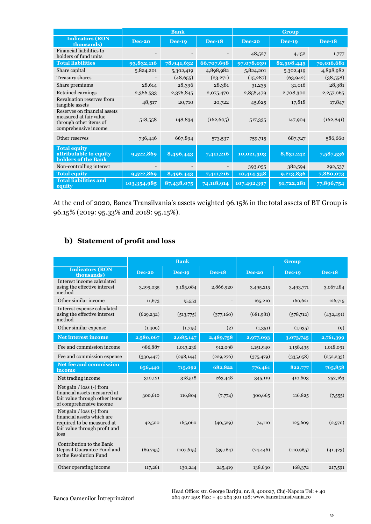|                                                                                                          | <b>Bank</b>   |               | <b>Group</b>  |               |               |               |
|----------------------------------------------------------------------------------------------------------|---------------|---------------|---------------|---------------|---------------|---------------|
| <b>Indicators (RON</b><br>thousands)                                                                     | <b>Dec-20</b> | <b>Dec-19</b> | <b>Dec-18</b> | <b>Dec-20</b> | <b>Dec-19</b> | <b>Dec-18</b> |
| Financial liabilities to<br>holders of fund units                                                        |               |               |               | 48,527        | 4,152         | 1,777         |
| <b>Total liabilities</b>                                                                                 | 93,832,116    | 78,941,632    | 66,707,698    | 97,078,039    | 82,508,445    | 70,016,681    |
| Share capital                                                                                            | 5,824,201     | 5,302,419     | 4,898,982     | 5,824,201     | 5,302,419     | 4,898,982     |
| Treasury shares                                                                                          |               | (48, 655)     | (23,271)      | (15, 287)     | (63, 942)     | (38,558)      |
| Share premiums                                                                                           | 28,614        | 28,396        | 28,381        | 31,235        | 31,016        | 28,381        |
| Retained earnings                                                                                        | 2,366,533     | 2,376,845     | 2,075,470     | 2,858,479     | 2,708,300     | 2,257,065     |
| Revaluation reserves from<br>tangible assets                                                             | 48,517        | 20,710        | 20,722        | 45,625        | 17,818        | 17,847        |
| Reserves on financial assets<br>measured at fair value<br>through other items of<br>comprehensive income | 518,558       | 148,834       | (162, 605)    | 517,335       | 147,904       | (162, 841)    |
| Other reserves                                                                                           | 736,446       | 667,894       | 573,537       | 759,715       | 687,727       | 586,660       |
| <b>Total equity</b><br>attributable to equity<br>holders of the Bank                                     | 9,522,869     | 8,496,443     | 7,411,216     | 10,021,303    | 8,831,242     | 7,587,536     |
| Non-controlling interest                                                                                 |               |               |               | 393,055       | 382,594       | 292,537       |
| <b>Total equity</b>                                                                                      | 9,522,869     | 8,496,443     | 7,411,216     | 10,414,358    | 9,213,836     | 7,880,073     |
| <b>Total liabilities and</b><br>equity                                                                   | 103,354,985   | 87,438,075    | 74,118,914    | 107,492,397   | 91,722,281    | 77,896,754    |

At the end of 2020, Banca Transilvania's assets weighted 96.15% in the total assets of BT Group is 96.15% (2019: 95.33% and 2018: 95.15%).

## **b) Statement of profit and loss**

|                                                                                                                                   | <b>Bank</b>   |               |               | <b>Group</b>  |               |               |
|-----------------------------------------------------------------------------------------------------------------------------------|---------------|---------------|---------------|---------------|---------------|---------------|
| <b>Indicators (RON</b><br>thousands)                                                                                              | <b>Dec-20</b> | <b>Dec-19</b> | <b>Dec-18</b> | <b>Dec-20</b> | <b>Dec-19</b> | <b>Dec-18</b> |
| Interest income calculated<br>using the effective interest<br>method                                                              | 3,199,035     | 3,185,084     | 2,866,920     | 3,495,215     | 3,493,771     | 3,067,184     |
| Other similar income                                                                                                              | 11,673        | 15,553        |               | 165,210       | 160,621       | 126,715       |
| Interest expense calculated<br>using the effective interest<br>method                                                             | (629, 232)    | (513,775)     | (377,160)     | (681,981)     | (578, 712)    | (432, 491)    |
| Other similar expense                                                                                                             | (1,409)       | (1,715)       | (2)           | (1,351)       | (1,935)       | (q)           |
| <b>Net interest income</b>                                                                                                        | 2,580,067     | 2,685,147     | 2,489,758     | 2,977,093     | 3,073,745     | 2,761,399     |
| Fee and commission income                                                                                                         | 986,887       | 1,013,236     | 912,098       | 1,151,940     | 1,158,435     | 1,018,091     |
| Fee and commission expense                                                                                                        | (330, 447)    | (298, 144)    | (229, 276)    | (375, 479)    | (335, 658)    | (252, 233)    |
| <b>Net fee and commission</b><br>income                                                                                           | 656,440       | 715,092       | 682,822       | 776,461       | 822,777       | 765,858       |
| Net trading income                                                                                                                | 310,121       | 318,518       | 263,448       | 345,119       | 410,603       | 252,163       |
| Net gain $\ell$ loss $(-)$ from<br>financial assets measured at<br>fair value through other items<br>of comprehensive income      | 300,610       | 116,804       | (7,774)       | 300,665       | 116,825       | (7,555)       |
| Net gain $/$ loss $(-)$ from<br>financial assets which are<br>required to be measured at<br>fair value through profit and<br>loss | 42,500        | 165,060       | (40,529)      | 74,110        | 125,609       | (2,570)       |
| Contribution to the Bank<br>Deposit Guarantee Fund and<br>to the Resolution Fund                                                  | (69,795)      | (107, 615)    | (39,164)      | (74, 446)     | (110, 965)    | (41, 423)     |
| Other operating income                                                                                                            | 117,261       | 130,244       | 245,419       | 138,630       | 168,372       | 217,591       |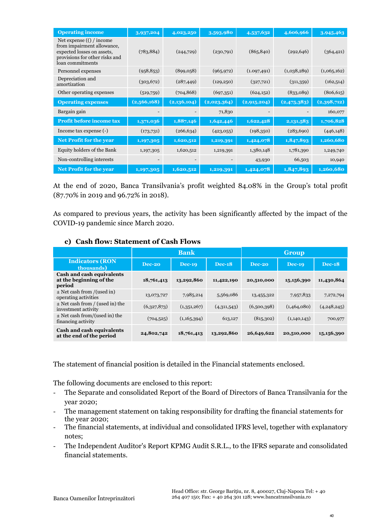| <b>Operating income</b>                                                                                                                      | 3,937,204   | 4,023,250   | 3,593,980   | 4,537,632    | 4,606,966              | 3,945,463   |
|----------------------------------------------------------------------------------------------------------------------------------------------|-------------|-------------|-------------|--------------|------------------------|-------------|
| Net expense $($ $/$ income<br>from impairment allowance,<br>expected losses on assets,<br>provisions for other risks and<br>loan commitments | (783, 884)  | (244, 729)  | (230,791)   | (865, 840)   | (292, 646)             | (364, 421)  |
| Personnel expenses                                                                                                                           | (958, 853)  | (899, 058)  | (965, 972)  | (1.097, 491) | (1,038,289)            | (1,065,162) |
| Depreciation and<br>amortization                                                                                                             | (303, 672)  | (287, 449)  | (129, 250)  | (327,721)    | (311,359)              | (162,514)   |
| Other operating expenses                                                                                                                     | (519,759)   | (704, 868)  | (697,351)   | (624,152)    | (833,089)              | (806, 615)  |
| <b>Operating expenses</b>                                                                                                                    | (2,566,168) | (2,136,104) | (2,023,364) | (2,915,204)  | (2,475,383)            | (2,398,712) |
| Bargain gain                                                                                                                                 |             |             | 71,830      |              |                        | 160,077     |
|                                                                                                                                              |             |             |             |              |                        |             |
| <b>Profit before income tax</b>                                                                                                              | 1,371,036   | 1,887,146   | 1,642,446   | 1,622,428    | $\overline{2,131,583}$ | 1,706,828   |
| Income tax expense (-)                                                                                                                       | (173,731)   | (266, 634)  | (423,055)   | (198,350)    | (283, 690)             | (446, 148)  |
| Net Profit for the year                                                                                                                      | 1,197,305   | 1,620,512   | 1,219,391   | 1,424,078    | 1,847,893              | 1,260,680   |
| Equity holders of the Bank                                                                                                                   | 1,197,305   | 1,620,512   | 1,219,391   | 1,380,148    | 1,781,390              | 1,249,740   |
| Non-controlling interests                                                                                                                    |             |             |             | 43,930       | 66,503                 | 10,940      |

At the end of 2020, Banca Transilvania's profit weighted 84.08% in the Group's total profit (87.70% in 2019 and 96.72% in 2018).

As compared to previous years, the activity has been significantly affected by the impact of the COVID-19 pandemic since March 2020.

#### **c) Cash flow: Statement of Cash Flows**

|                                                                       | <b>Bank</b> |             |               | Group       |               |               |
|-----------------------------------------------------------------------|-------------|-------------|---------------|-------------|---------------|---------------|
| <b>Indicators (RON)</b><br>thousands)                                 | Dec-20      | $Dec-19$    | <b>Dec-18</b> | Dec-20      | <b>Dec-19</b> | <b>Dec-18</b> |
| <b>Cash and cash equivalents</b><br>at the beginning of the<br>period | 18,761,413  | 13,292,860  | 11,422,190    | 20,510,000  | 15,156,390    | 11,430,864    |
| $\pm$ Net cash from /(used in)<br>operating activities                | 13,073,727  | 7,985,214   | 5,569,086     | 13,455,322  | 7,957,833     | 7,272,794     |
| $\pm$ Net cash from / (used in) the<br>investment activity            | (6,327,873) | (1,351,267) | (4,311,543)   | (6,500,398) | (1,464,080)   | (4,248,245)   |
| $\pm$ Net cash from/(used in) the<br>financing activity               | (704, 525)  | (1,165,394) | 613,127       | (815,302)   | (1,140,143)   | 700,977       |
| <b>Cash and cash equivalents</b><br>at the end of the period          | 24,802,742  | 18,761,413  | 13,292,860    | 26,649,622  | 20,510,000    | 15,156,390    |

The statement of financial position is detailed in the Financial statements enclosed.

The following documents are enclosed to this report:

- The Separate and consolidated Report of the Board of Directors of Banca Transilvania for the year 2020;
- The management statement on taking responsibility for drafting the financial statements for the year 2020;
- The financial statements, at individual and consolidated IFRS level, together with explanatory notes;
- The Independent Auditor's Report KPMG Audit S.R.L., to the IFRS separate and consolidated financial statements.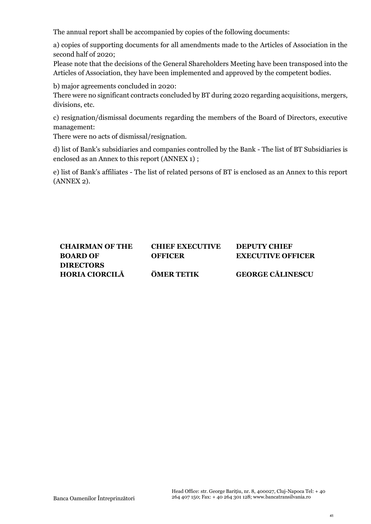The annual report shall be accompanied by copies of the following documents:

a) copies of supporting documents for all amendments made to the Articles of Association in the second half of 2020;

Please note that the decisions of the General Shareholders Meeting have been transposed into the Articles of Association, they have been implemented and approved by the competent bodies.

b) major agreements concluded in 2020:

There were no significant contracts concluded by BT during 2020 regarding acquisitions, mergers, divisions, etc.

c) resignation/dismissal documents regarding the members of the Board of Directors, executive management:

There were no acts of dismissal/resignation.

d) list of Bank's subsidiaries and companies controlled by the Bank - The list of BT Subsidiaries is enclosed as an Annex to this report (ANNEX 1) ;

e) list of Bank's affiliates - The list of related persons of BT is enclosed as an Annex to this report (ANNEX 2).

| <b>CHAIRMAN OF THE</b> | <b>CHIEF EXECUTIVE</b> | <b>DEPUTY CHIEF</b>      |
|------------------------|------------------------|--------------------------|
| <b>BOARD OF</b>        | <b>OFFICER</b>         | <b>EXECUTIVE OFFICER</b> |
| <b>DIRECTORS</b>       |                        |                          |
| <b>HORIA CIORCILĂ</b>  | ÖMER TETIK             | <b>GEORGE CĂLINESCU</b>  |
|                        |                        |                          |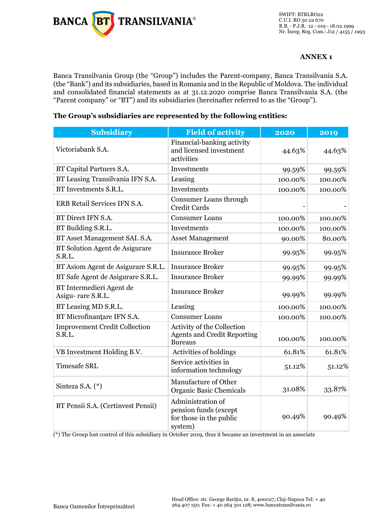

SWIFT: BTRLRO22 C.U.I. RO 50 22 670 R.B. - P.J.R. 12 - 019 - 18.02.1999 Nr. Înreg. Reg. Com.: J12 / 4155 / 1993

#### **ANNEX 1**

Banca Transilvania Group (the "Group") includes the Parent-company, Banca Transilvania S.A. (the "Bank") and its subsidiaries, based in Romania and in the Republic of Moldova. The individual and consolidated financial statements as at 31.12.2020 comprise Banca Transilvania S.A. (the "Parent company" or "BT") and its subsidiaries (hereinafter referred to as the "Group").

| <b>Subsidiary</b>                              | <b>Field of activity</b>                                                           | 2020    | 2019    |
|------------------------------------------------|------------------------------------------------------------------------------------|---------|---------|
| Victoriabank S.A.                              | Financial-banking activity<br>and licensed investment<br>activities                | 44.63%  | 44.63%  |
| BT Capital Partners S.A.                       | Investments                                                                        | 99.59%  | 99.59%  |
| BT Leasing Transilvania IFN S.A.               | Leasing                                                                            | 100.00% | 100.00% |
| BT Investments S.R.L.                          | Investments                                                                        | 100.00% | 100.00% |
| ERB Retail Services IFN S.A.                   | Consumer Loans through<br><b>Credit Cards</b>                                      |         |         |
| BT Direct IFN S.A.                             | <b>Consumer Loans</b>                                                              | 100.00% | 100.00% |
| BT Building S.R.L.                             | Investments                                                                        | 100.00% | 100.00% |
| BT Asset Management SAI. S.A.                  | <b>Asset Management</b>                                                            | 90.00%  | 80.00%  |
| BT Solution Agent de Asigurare<br>S.R.L.       | <b>Insurance Broker</b>                                                            | 99.95%  | 99.95%  |
| BT Asiom Agent de Asigurare S.R.L.             | <b>Insurance Broker</b>                                                            | 99.95%  | 99.95%  |
| BT Safe Agent de Asigurare S.R.L.              | <b>Insurance Broker</b>                                                            | 99.99%  | 99.99%  |
| BT Intermedieri Agent de<br>Asigu-rare S.R.L.  | <b>Insurance Broker</b>                                                            | 99.99%  | 99.99%  |
| BT Leasing MD S.R.L.                           | Leasing                                                                            | 100.00% | 100.00% |
| BT Microfinanțare IFN S.A.                     | <b>Consumer Loans</b>                                                              | 100.00% | 100.00% |
| <b>Improvement Credit Collection</b><br>S.R.L. | Activity of the Collection<br><b>Agents and Credit Reporting</b><br><b>Bureaus</b> | 100.00% | 100.00% |
| VB Investment Holding B.V.                     | Activities of holdings                                                             | 61.81%  | 61.81%  |
| <b>Timesafe SRL</b>                            | Service activities in<br>information technology                                    | 51.12%  | 51.12%  |
| Sinteza S.A. (*)                               | Manufacture of Other<br>Organic Basic Chemicals                                    | 31.08%  | 33.87%  |
| BT Pensii S.A. (Certinvest Pensii)             | Administration of<br>pension funds (except<br>for those in the public<br>system)   | 90.49%  | 90.49%  |

#### **The Group's subsidiaries are represented by the following entities:**

(\*) The Group lost control of this subsidiary in October 2019, thus it became an investment in an associate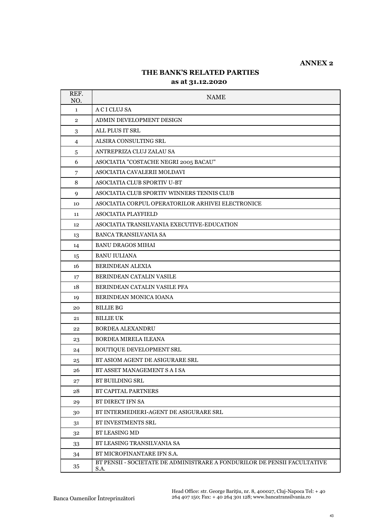#### **ANNEX 2**

## **THE BANK'S RELATED PARTIES**

#### **as at 31.12.2020**

| REF.<br>NO.    | <b>NAME</b>                                                                                       |
|----------------|---------------------------------------------------------------------------------------------------|
| $\mathbf{1}$   | A C I CLUJ SA                                                                                     |
| $\overline{2}$ | ADMIN DEVELOPMENT DESIGN                                                                          |
| 3              | ALL PLUS IT SRL                                                                                   |
| $\overline{4}$ | ALSIRA CONSULTING SRL                                                                             |
| 5              | ANTREPRIZA CLUJ ZALAU SA                                                                          |
| 6              | ASOCIATIA "COSTACHE NEGRI 2005 BACAU"                                                             |
| 7              | ASOCIATIA CAVALERII MOLDAVI                                                                       |
| 8              | <b>ASOCIATIA CLUB SPORTIV U-BT</b>                                                                |
| 9              | ASOCIATIA CLUB SPORTIV WINNERS TENNIS CLUB                                                        |
| 10             | ASOCIATIA CORPUL OPERATORILOR ARHIVEI ELECTRONICE                                                 |
| 11             | ASOCIATIA PLAYFIELD                                                                               |
| 12             | ASOCIATIA TRANSILVANIA EXECUTIVE-EDUCATION                                                        |
| 13             | <b>BANCA TRANSILVANIA SA</b>                                                                      |
| 14             | <b>BANU DRAGOS MIHAI</b>                                                                          |
| 15             | <b>BANU IULIANA</b>                                                                               |
| 16             | <b>BERINDEAN ALEXIA</b>                                                                           |
| 17             | <b>BERINDEAN CATALIN VASILE</b>                                                                   |
| 18             | BERINDEAN CATALIN VASILE PFA                                                                      |
| 19             | BERINDEAN MONICA IOANA                                                                            |
| 20             | <b>BILLIE BG</b>                                                                                  |
| 21             | <b>BILLIE UK</b>                                                                                  |
| 22             | <b>BORDEA ALEXANDRU</b>                                                                           |
| 23             | BORDEA MIRELA ILEANA                                                                              |
| 24             | <b>BOUTIQUE DEVELOPMENT SRL</b>                                                                   |
| 25             | BT ASIOM AGENT DE ASIGURARE SRL                                                                   |
| 26             | BT ASSET MANAGEMENT S A I SA                                                                      |
| 27             | <b>BT BUILDING SRL</b>                                                                            |
| 28             | BT CAPITAL PARTNERS                                                                               |
| 29             | BT DIRECT IFN SA                                                                                  |
| 30             | BT INTERMEDIERI-AGENT DE ASIGURARE SRL                                                            |
| 31             | <b>BT INVESTMENTS SRL</b>                                                                         |
| 32             | <b>BT LEASING MD</b>                                                                              |
| 33             | BT LEASING TRANSILVANIA SA                                                                        |
| 34             | BT MICROFINANTARE IFN S.A.                                                                        |
| 35             | BT PENSII - SOCIETATE DE ADMINISTRARE A FONDURILOR DE PENSII FACULTATIVE<br>$\operatorname{S.A.}$ |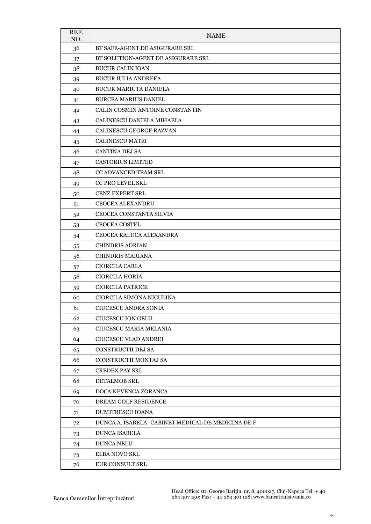| REF.<br>NO. | <b>NAME</b>                                        |
|-------------|----------------------------------------------------|
| 36          | BT SAFE-AGENT DE ASIGURARE SRL                     |
| 37          | BT SOLUTION-AGENT DE ASIGURARE SRL                 |
| 38          | <b>BUCUR CALIN IOAN</b>                            |
| 39          | <b>BUCUR IULIA ANDREEA</b>                         |
| 40          | <b>BUCUR MARIUTA DANIELA</b>                       |
| 41          | <b>BURCEA MARIUS DANIEL</b>                        |
| 42          | CALIN COSMIN ANTOINE CONSTANTIN                    |
| 43          | CALINESCU DANIELA MIHAELA                          |
| 44          | CALINESCU GEORGE RAZVAN                            |
| 45          | <b>CALINESCU MATEI</b>                             |
| 46          | <b>CANTINA DEJ SA</b>                              |
| 47          | <b>CASTORIUS LIMITED</b>                           |
| 48          | <b>CC ADVANCED TEAM SRL</b>                        |
| 49          | CC PRO LEVEL SRL                                   |
| 50          | <b>CENZ EXPERT SRL</b>                             |
| 51          | <b>CEOCEA ALEXANDRU</b>                            |
| 52          | CEOCEA CONSTANTA SILVIA                            |
| 53          | <b>CEOCEA COSTEL</b>                               |
| 54          | CEOCEA RALUCA ALEXANDRA                            |
| 55          | <b>CHINDRIS ADRIAN</b>                             |
| 56          | <b>CHINDRIS MARIANA</b>                            |
| 57          | <b>CIORCILA CARLA</b>                              |
| 58          | <b>CIORCILA HORIA</b>                              |
| 59          | CIORCILA PATRICK                                   |
| 60          | CIORCILA SIMONA NICULINA                           |
| 61          | CIUCESCU ANDRA SONIA                               |
| 62          | <b>CIUCESCU ION GELU</b>                           |
| 63          | CIUCESCU MARIA MELANIA                             |
| 64          | CIUCESCU VLAD ANDREI                               |
| 65          | CONSTRUCTII DEJ SA                                 |
| 66          | CONSTRUCTII MONTAJ SA                              |
| 67          | <b>CREDEX PAY SRL</b>                              |
| 68          | DETALMOB SRL                                       |
| 69          | DOCA NEVENCA ZORANCA                               |
| 70          | DREAM GOLF RESIDENCE                               |
| 71          | DUMITRESCU IOANA                                   |
| 72          | DUNCA A. ISABELA- CABINET MEDICAL DE MEDICINA DE F |
| 73          | <b>DUNCA ISABELA</b>                               |
| 74          | <b>DUNCA NELU</b>                                  |
| 75          | <b>ELBA NOVO SRL</b>                               |
| 76          | EUR CONSULT SRL                                    |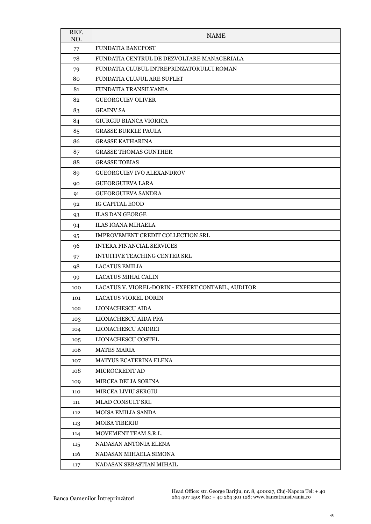| REF.<br>NO. | <b>NAME</b>                                        |
|-------------|----------------------------------------------------|
| 77          | <b>FUNDATIA BANCPOST</b>                           |
| 78          | FUNDATIA CENTRUL DE DEZVOLTARE MANAGERIALA         |
| 79          | FUNDATIA CLUBUL INTREPRINZATORULUI ROMAN           |
| 80          | FUNDATIA CLUJUL ARE SUFLET                         |
| 81          | FUNDATIA TRANSILVANIA                              |
| 82          | <b>GUEORGUIEV OLIVER</b>                           |
| 83          | <b>GEAINV SA</b>                                   |
| 84          | <b>GIURGIU BIANCA VIORICA</b>                      |
| 85          | <b>GRASSE BURKLE PAULA</b>                         |
| 86          | <b>GRASSE KATHARINA</b>                            |
| 87          | <b>GRASSE THOMAS GUNTHER</b>                       |
| 88          | <b>GRASSE TOBIAS</b>                               |
| 89          | GUEORGUIEV IVO ALEXANDROV                          |
| 90          | <b>GUEORGUIEVA LARA</b>                            |
| 91          | <b>GUEORGUIEVA SANDRA</b>                          |
| 92          | <b>IG CAPITAL EOOD</b>                             |
| 93          | <b>ILAS DAN GEORGE</b>                             |
| 94          | <b>ILAS IOANA MIHAELA</b>                          |
| 95          | IMPROVEMENT CREDIT COLLECTION SRL                  |
| 96          | <b>INTERA FINANCIAL SERVICES</b>                   |
| 97          | INTUITIVE TEACHING CENTER SRL                      |
| 98          | <b>LACATUS EMILIA</b>                              |
| 99          | <b>LACATUS MIHAI CALIN</b>                         |
| 100         | LACATUS V. VIOREL-DORIN - EXPERT CONTABIL, AUDITOR |
| 101         | <b>LACATUS VIOREL DORIN</b>                        |
| 102         | LIONACHESCU AIDA                                   |
| 103         | <b>LIONACHESCU AIDA PFA</b>                        |
| 104         | LIONACHESCU ANDREI                                 |
| 105         | LIONACHESCU COSTEL                                 |
| 106         | <b>MATES MARIA</b>                                 |
| 107         | MATYUS ECATERINA ELENA                             |
| 108         | MICROCREDIT AD                                     |
| 109         | MIRCEA DELIA SORINA                                |
| 110         | MIRCEA LIVIU SERGIU                                |
| 111         | MLAD CONSULT SRL                                   |
| 112         | MOISA EMILIA SANDA                                 |
| 113         | <b>MOISA TIBERIU</b>                               |
| 114         | MOVEMENT TEAM S.R.L.                               |
| 115         | NADASAN ANTONIA ELENA                              |
| 116         | NADASAN MIHAELA SIMONA                             |
| 117         | NADASAN SEBASTIAN MIHAIL                           |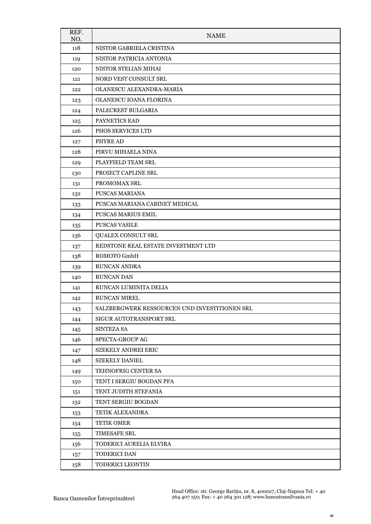| REF.<br>NO. | <b>NAME</b>                                   |
|-------------|-----------------------------------------------|
| 118         | NISTOR GABRIELA CRISTINA                      |
| 119         | NISTOR PATRICIA ANTONIA                       |
| 120         | NISTOR STELIAN MIHAI                          |
| 121         | NORD VEST CONSULT SRL                         |
| 122         | OLANESCU ALEXANDRA-MARIA                      |
| 123         | OLANESCU IOANA FLORINA                        |
| 124         | PALECREST BULGARIA                            |
| 125         | PAYNETICS EAD                                 |
| 126         | PHOS SERVICES LTD                             |
| 127         | PHYRE AD                                      |
| 128         | PIRVU MIHAELA NINA                            |
| 129         | PLAYFIELD TEAM SRL                            |
| 130         | PROIECT CAPLINE SRL                           |
| 131         | PROMOMAX SRL                                  |
| 132         | PUSCAS MARIANA                                |
| 133         | PUSCAS MARIANA CABINET MEDICAL                |
| 134         | <b>PUSCAS MARIUS EMIL</b>                     |
| 135         | <b>PUSCAS VASILE</b>                          |
| 136         | QUALEX CONSULT SRL                            |
| 137         | REDSTONE REAL ESTATE INVESTMENT LTD           |
| 138         | ROMOTO GmbH                                   |
| 139         | <b>RUNCAN ANDRA</b>                           |
| 140         | RUNCAN DAN                                    |
| 141         | RUNCAN LUMINITA DELIA                         |
| 142         | <b>RUNCAN MIREL</b>                           |
| 143         | SALZBERGWERK RESSOURCEN UND INVESTITIONEN SRL |
| 144         | SIGUR AUTOTRANSPORT SRL                       |
| 145         | <b>SINTEZA SA</b>                             |
| 146         | SPECTA-GROUP AG                               |
| 147         | <b>SZEKELY ANDREI ERIC</b>                    |
| 148         | <b>SZEKELY DANIEL</b>                         |
| 149         | TEHNOFRIG CENTER SA                           |
| 150         | TENT I SERGIU BOGDAN PFA                      |
| 151         | TENT JUDITH STEFANIA                          |
| 152         | TENT SERGIU BOGDAN                            |
| 153         | TETIK ALEXANDRA                               |
| 154         | <b>TETIK OMER</b>                             |
| 155         | <b>TIMESAFE SRL</b>                           |
| 156         | TODERICI AURELIA ELVIRA                       |
| 157         | TODERICI DAN                                  |
| 158         | TODERICI LEONTIN                              |